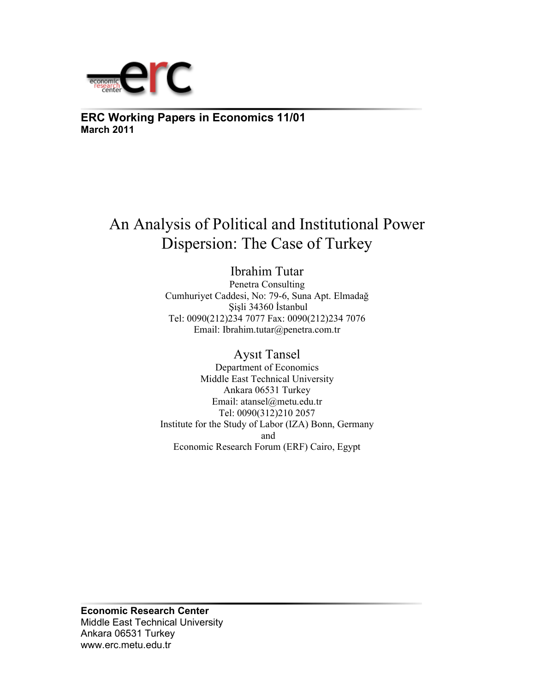

**ERC Working Papers in Economics 11/01 March 2011**

# An Analysis of Political and Institutional Power Dispersion: The Case of Turkey

Ibrahim Tutar Penetra Consulting Cumhuriyet Caddesi, No: 79-6, Suna Apt. Elmadağ Şişli 34360 İstanbul Tel: 0090(212)234 7077 Fax: 0090(212)234 7076 Email: Ibrahim.tutar@penetra.com.tr

Aysıt Tansel Department of Economics Middle East Technical University Ankara 06531 Turkey Email: atansel@metu.edu.tr Tel: 0090(312)210 2057 Institute for the Study of Labor (IZA) Bonn, Germany and Economic Research Forum (ERF) Cairo, Egypt

**Economic Research Center**  Middle East Technical University Ankara 06531 Turkey www.erc.metu.edu.tr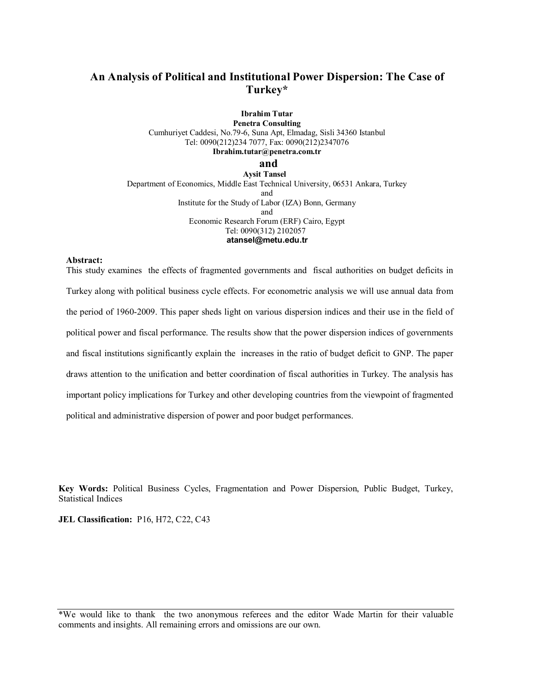# **An Analysis of Political and Institutional Power Dispersion: The Case of Turkey\***

**Ibrahim Tutar Penetra Consulting**  Cumhuriyet Caddesi, No.79-6, Suna Apt, Elmadag, Sisli 34360 Istanbul Tel: 0090(212)234 7077, Fax: 0090(212)2347076 **Ibrahim.tutar@penetra.com.tr and** 

 **Aysit Tansel**  Department of Economics, Middle East Technical University, 06531 Ankara, Turkey and Institute for the Study of Labor (IZA) Bonn, Germany and Economic Research Forum (ERF) Cairo, Egypt Tel: 0090(312) 2102057 **atansel@metu.edu.tr**

#### **Abstract:**

This study examines the effects of fragmented governments and fiscal authorities on budget deficits in Turkey along with political business cycle effects. For econometric analysis we will use annual data from the period of 1960-2009. This paper sheds light on various dispersion indices and their use in the field of political power and fiscal performance. The results show that the power dispersion indices of governments and fiscal institutions significantly explain the increases in the ratio of budget deficit to GNP. The paper draws attention to the unification and better coordination of fiscal authorities in Turkey. The analysis has important policy implications for Turkey and other developing countries from the viewpoint of fragmented political and administrative dispersion of power and poor budget performances.

**Key Words:** Political Business Cycles, Fragmentation and Power Dispersion, Public Budget, Turkey, Statistical Indices

**JEL Classification:** P16, H72, C22, C43

\*We would like to thank the two anonymous referees and the editor Wade Martin for their valuable comments and insights. All remaining errors and omissions are our own.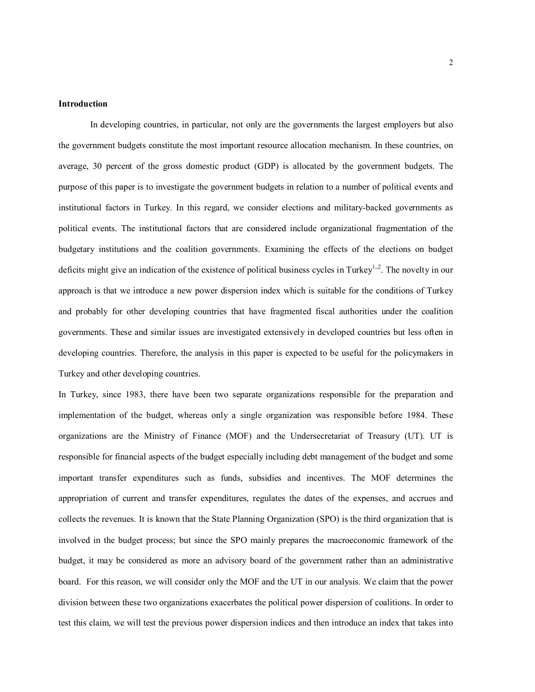#### **Introduction**

 In developing countries, in particular, not only are the governments the largest employers but also the government budgets constitute the most important resource allocation mechanism. In these countries, on average, 30 percent of the gross domestic product (GDP) is allocated by the government budgets. The purpose of this paper is to investigate the government budgets in relation to a number of political events and institutional factors in Turkey. In this regard, we consider elections and military-backed governments as political events. The institutional factors that are considered include organizational fragmentation of the budgetary institutions and the coalition governments. Examining the effects of the elections on budget deficits might give an indication of the existence of political business cycles in Turkey<sup>1,,2</sup>. The novelty in our approach is that we introduce a new power dispersion index which is suitable for the conditions of Turkey and probably for other developing countries that have fragmented fiscal authorities under the coalition governments. These and similar issues are investigated extensively in developed countries but less often in developing countries. Therefore, the analysis in this paper is expected to be useful for the policymakers in Turkey and other developing countries.

In Turkey, since 1983, there have been two separate organizations responsible for the preparation and implementation of the budget, whereas only a single organization was responsible before 1984. These organizations are the Ministry of Finance (MOF) and the Undersecretariat of Treasury (UT). UT is responsible for financial aspects of the budget especially including debt management of the budget and some important transfer expenditures such as funds, subsidies and incentives. The MOF determines the appropriation of current and transfer expenditures, regulates the dates of the expenses, and accrues and collects the revenues. It is known that the State Planning Organization (SPO) is the third organization that is involved in the budget process; but since the SPO mainly prepares the macroeconomic framework of the budget, it may be considered as more an advisory board of the government rather than an administrative board. For this reason, we will consider only the MOF and the UT in our analysis. We claim that the power division between these two organizations exacerbates the political power dispersion of coalitions. In order to test this claim, we will test the previous power dispersion indices and then introduce an index that takes into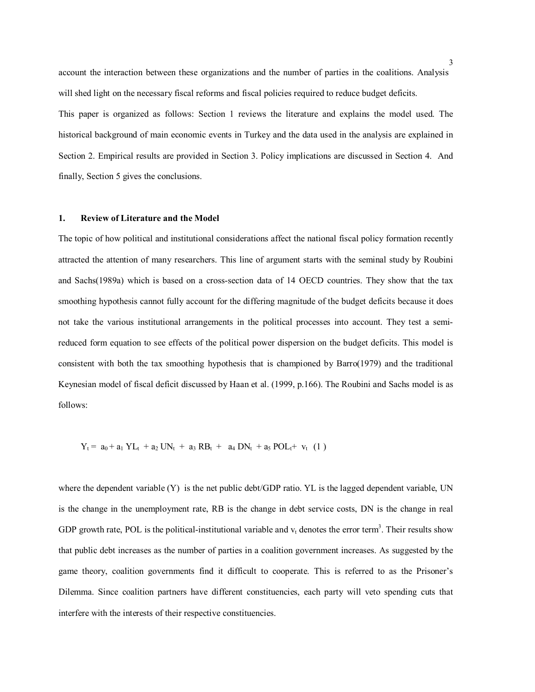account the interaction between these organizations and the number of parties in the coalitions. Analysis will shed light on the necessary fiscal reforms and fiscal policies required to reduce budget deficits. This paper is organized as follows: Section 1 reviews the literature and explains the model used. The

historical background of main economic events in Turkey and the data used in the analysis are explained in Section 2. Empirical results are provided in Section 3. Policy implications are discussed in Section 4. And finally, Section 5 gives the conclusions.

# **1. Review of Literature and the Model**

The topic of how political and institutional considerations affect the national fiscal policy formation recently attracted the attention of many researchers. This line of argument starts with the seminal study by Roubini and Sachs(1989a) which is based on a cross-section data of 14 OECD countries. They show that the tax smoothing hypothesis cannot fully account for the differing magnitude of the budget deficits because it does not take the various institutional arrangements in the political processes into account. They test a semireduced form equation to see effects of the political power dispersion on the budget deficits. This model is consistent with both the tax smoothing hypothesis that is championed by Barro(1979) and the traditional Keynesian model of fiscal deficit discussed by Haan et al. (1999, p.166). The Roubini and Sachs model is as follows:

$$
Y_t = a_0 + a_1 Y L_t + a_2 U N_t + a_3 R B_t + a_4 D N_t + a_5 P O L_t + v_t (1)
$$

where the dependent variable  $(Y)$  is the net public debt/GDP ratio. YL is the lagged dependent variable, UN is the change in the unemployment rate, RB is the change in debt service costs, DN is the change in real GDP growth rate, POL is the political-institutional variable and  $v_t$  denotes the error term<sup>3</sup>. Their results show that public debt increases as the number of parties in a coalition government increases. As suggested by the game theory, coalition governments find it difficult to cooperate. This is referred to as the Prisoner's Dilemma. Since coalition partners have different constituencies, each party will veto spending cuts that interfere with the interests of their respective constituencies.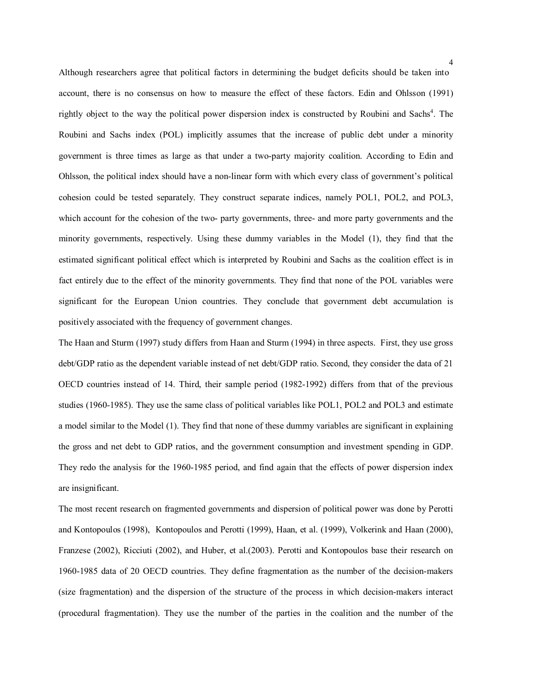Although researchers agree that political factors in determining the budget deficits should be taken into account, there is no consensus on how to measure the effect of these factors. Edin and Ohlsson (1991) rightly object to the way the political power dispersion index is constructed by Roubini and Sachs<sup>4</sup>. The Roubini and Sachs index (POL) implicitly assumes that the increase of public debt under a minority government is three times as large as that under a two-party majority coalition. According to Edin and Ohlsson, the political index should have a non-linear form with which every class of government's political cohesion could be tested separately. They construct separate indices, namely POL1, POL2, and POL3, which account for the cohesion of the two- party governments, three- and more party governments and the minority governments, respectively. Using these dummy variables in the Model (1), they find that the estimated significant political effect which is interpreted by Roubini and Sachs as the coalition effect is in fact entirely due to the effect of the minority governments. They find that none of the POL variables were significant for the European Union countries. They conclude that government debt accumulation is positively associated with the frequency of government changes.

The Haan and Sturm (1997) study differs from Haan and Sturm (1994) in three aspects. First, they use gross debt/GDP ratio as the dependent variable instead of net debt/GDP ratio. Second, they consider the data of 21 OECD countries instead of 14. Third, their sample period (1982-1992) differs from that of the previous studies (1960-1985). They use the same class of political variables like POL1, POL2 and POL3 and estimate a model similar to the Model (1). They find that none of these dummy variables are significant in explaining the gross and net debt to GDP ratios, and the government consumption and investment spending in GDP. They redo the analysis for the 1960-1985 period, and find again that the effects of power dispersion index are insignificant.

The most recent research on fragmented governments and dispersion of political power was done by Perotti and Kontopoulos (1998), Kontopoulos and Perotti (1999), Haan, et al. (1999), Volkerink and Haan (2000), Franzese (2002), Ricciuti (2002), and Huber, et al.(2003). Perotti and Kontopoulos base their research on 1960-1985 data of 20 OECD countries. They define fragmentation as the number of the decision-makers (size fragmentation) and the dispersion of the structure of the process in which decision-makers interact (procedural fragmentation). They use the number of the parties in the coalition and the number of the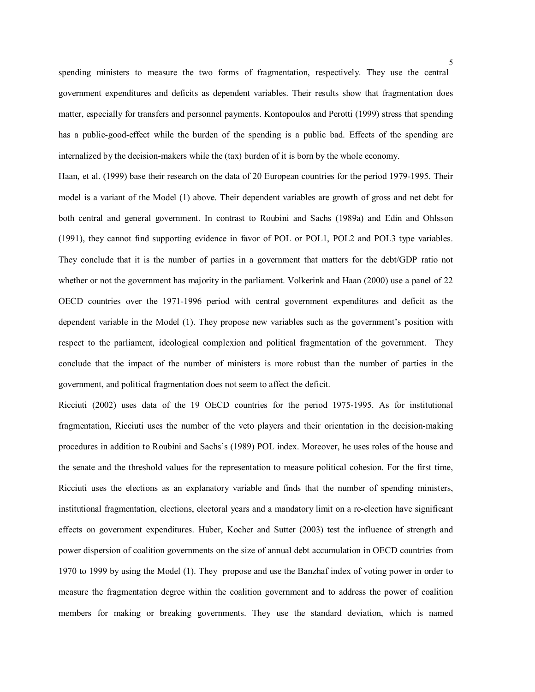spending ministers to measure the two forms of fragmentation, respectively. They use the central government expenditures and deficits as dependent variables. Their results show that fragmentation does matter, especially for transfers and personnel payments. Kontopoulos and Perotti (1999) stress that spending has a public-good-effect while the burden of the spending is a public bad. Effects of the spending are internalized by the decision-makers while the (tax) burden of it is born by the whole economy.

Haan, et al. (1999) base their research on the data of 20 European countries for the period 1979-1995. Their model is a variant of the Model (1) above. Their dependent variables are growth of gross and net debt for both central and general government. In contrast to Roubini and Sachs (1989a) and Edin and Ohlsson (1991), they cannot find supporting evidence in favor of POL or POL1, POL2 and POL3 type variables. They conclude that it is the number of parties in a government that matters for the debt/GDP ratio not whether or not the government has majority in the parliament. Volkerink and Haan (2000) use a panel of 22 OECD countries over the 1971-1996 period with central government expenditures and deficit as the dependent variable in the Model (1). They propose new variables such as the government's position with respect to the parliament, ideological complexion and political fragmentation of the government. They conclude that the impact of the number of ministers is more robust than the number of parties in the government, and political fragmentation does not seem to affect the deficit.

Ricciuti (2002) uses data of the 19 OECD countries for the period 1975-1995. As for institutional fragmentation, Ricciuti uses the number of the veto players and their orientation in the decision-making procedures in addition to Roubini and Sachs's (1989) POL index. Moreover, he uses roles of the house and the senate and the threshold values for the representation to measure political cohesion. For the first time, Ricciuti uses the elections as an explanatory variable and finds that the number of spending ministers, institutional fragmentation, elections, electoral years and a mandatory limit on a re-election have significant effects on government expenditures. Huber, Kocher and Sutter (2003) test the influence of strength and power dispersion of coalition governments on the size of annual debt accumulation in OECD countries from 1970 to 1999 by using the Model (1). They propose and use the Banzhaf index of voting power in order to measure the fragmentation degree within the coalition government and to address the power of coalition members for making or breaking governments. They use the standard deviation, which is named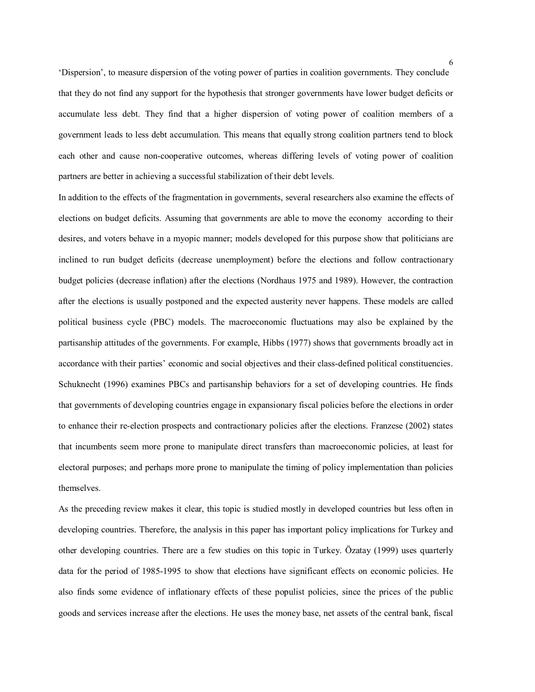'Dispersion', to measure dispersion of the voting power of parties in coalition governments. They conclude that they do not find any support for the hypothesis that stronger governments have lower budget deficits or accumulate less debt. They find that a higher dispersion of voting power of coalition members of a government leads to less debt accumulation. This means that equally strong coalition partners tend to block each other and cause non-cooperative outcomes, whereas differing levels of voting power of coalition partners are better in achieving a successful stabilization of their debt levels.

In addition to the effects of the fragmentation in governments, several researchers also examine the effects of elections on budget deficits. Assuming that governments are able to move the economy according to their desires, and voters behave in a myopic manner; models developed for this purpose show that politicians are inclined to run budget deficits (decrease unemployment) before the elections and follow contractionary budget policies (decrease inflation) after the elections (Nordhaus 1975 and 1989). However, the contraction after the elections is usually postponed and the expected austerity never happens. These models are called political business cycle (PBC) models. The macroeconomic fluctuations may also be explained by the partisanship attitudes of the governments. For example, Hibbs (1977) shows that governments broadly act in accordance with their parties' economic and social objectives and their class-defined political constituencies. Schuknecht (1996) examines PBCs and partisanship behaviors for a set of developing countries. He finds that governments of developing countries engage in expansionary fiscal policies before the elections in order to enhance their re-election prospects and contractionary policies after the elections. Franzese (2002) states that incumbents seem more prone to manipulate direct transfers than macroeconomic policies, at least for electoral purposes; and perhaps more prone to manipulate the timing of policy implementation than policies themselves.

As the preceding review makes it clear, this topic is studied mostly in developed countries but less often in developing countries. Therefore, the analysis in this paper has important policy implications for Turkey and other developing countries. There are a few studies on this topic in Turkey. Özatay (1999) uses quarterly data for the period of 1985-1995 to show that elections have significant effects on economic policies. He also finds some evidence of inflationary effects of these populist policies, since the prices of the public goods and services increase after the elections. He uses the money base, net assets of the central bank, fiscal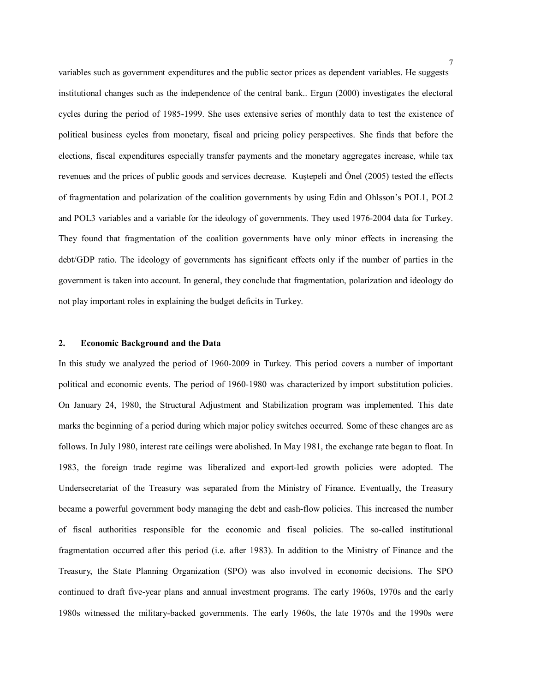variables such as government expenditures and the public sector prices as dependent variables. He suggests institutional changes such as the independence of the central bank.. Ergun (2000) investigates the electoral cycles during the period of 1985-1999. She uses extensive series of monthly data to test the existence of political business cycles from monetary, fiscal and pricing policy perspectives. She finds that before the elections, fiscal expenditures especially transfer payments and the monetary aggregates increase, while tax revenues and the prices of public goods and services decrease. Kuştepeli and Önel (2005) tested the effects of fragmentation and polarization of the coalition governments by using Edin and Ohlsson's POL1, POL2 and POL3 variables and a variable for the ideology of governments. They used 1976-2004 data for Turkey. They found that fragmentation of the coalition governments have only minor effects in increasing the debt/GDP ratio. The ideology of governments has significant effects only if the number of parties in the government is taken into account. In general, they conclude that fragmentation, polarization and ideology do not play important roles in explaining the budget deficits in Turkey.

#### **2. Economic Background and the Data**

In this study we analyzed the period of 1960-2009 in Turkey. This period covers a number of important political and economic events. The period of 1960-1980 was characterized by import substitution policies. On January 24, 1980, the Structural Adjustment and Stabilization program was implemented. This date marks the beginning of a period during which major policy switches occurred. Some of these changes are as follows. In July 1980, interest rate ceilings were abolished. In May 1981, the exchange rate began to float. In 1983, the foreign trade regime was liberalized and export-led growth policies were adopted. The Undersecretariat of the Treasury was separated from the Ministry of Finance. Eventually, the Treasury became a powerful government body managing the debt and cash-flow policies. This increased the number of fiscal authorities responsible for the economic and fiscal policies. The so-called institutional fragmentation occurred after this period (i.e. after 1983). In addition to the Ministry of Finance and the Treasury, the State Planning Organization (SPO) was also involved in economic decisions. The SPO continued to draft five-year plans and annual investment programs. The early 1960s, 1970s and the early 1980s witnessed the military-backed governments. The early 1960s, the late 1970s and the 1990s were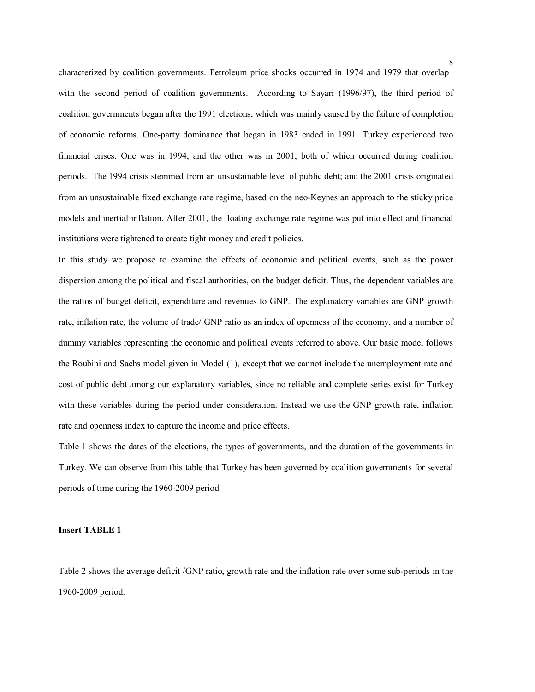characterized by coalition governments. Petroleum price shocks occurred in 1974 and 1979 that overlap with the second period of coalition governments. According to Sayari (1996/97), the third period of coalition governments began after the 1991 elections, which was mainly caused by the failure of completion of economic reforms. One-party dominance that began in 1983 ended in 1991. Turkey experienced two financial crises: One was in 1994, and the other was in 2001; both of which occurred during coalition periods. The 1994 crisis stemmed from an unsustainable level of public debt; and the 2001 crisis originated from an unsustainable fixed exchange rate regime, based on the neo-Keynesian approach to the sticky price models and inertial inflation. After 2001, the floating exchange rate regime was put into effect and financial institutions were tightened to create tight money and credit policies.

In this study we propose to examine the effects of economic and political events, such as the power dispersion among the political and fiscal authorities, on the budget deficit. Thus, the dependent variables are the ratios of budget deficit, expenditure and revenues to GNP. The explanatory variables are GNP growth rate, inflation rate, the volume of trade/ GNP ratio as an index of openness of the economy, and a number of dummy variables representing the economic and political events referred to above. Our basic model follows the Roubini and Sachs model given in Model (1), except that we cannot include the unemployment rate and cost of public debt among our explanatory variables, since no reliable and complete series exist for Turkey with these variables during the period under consideration. Instead we use the GNP growth rate, inflation rate and openness index to capture the income and price effects.

Table 1 shows the dates of the elections, the types of governments, and the duration of the governments in Turkey. We can observe from this table that Turkey has been governed by coalition governments for several periods of time during the 1960-2009 period.

#### **Insert TABLE 1**

Table 2 shows the average deficit /GNP ratio, growth rate and the inflation rate over some sub-periods in the 1960-2009 period.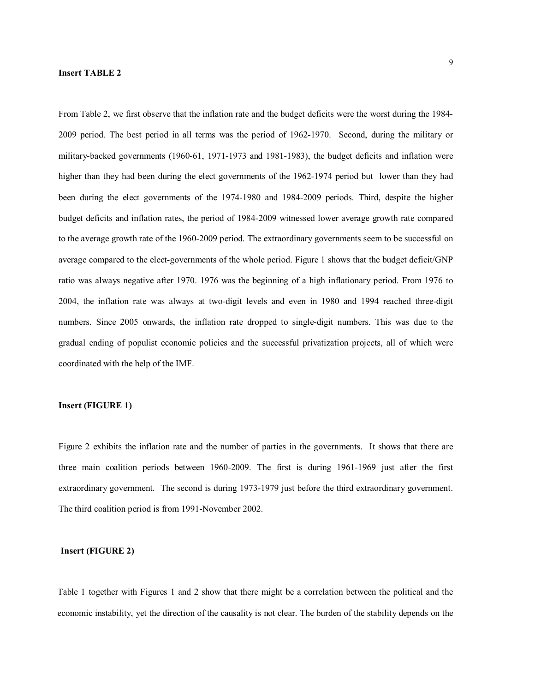# **Insert TABLE 2**

From Table 2, we first observe that the inflation rate and the budget deficits were the worst during the 1984- 2009 period. The best period in all terms was the period of 1962-1970. Second, during the military or military-backed governments (1960-61, 1971-1973 and 1981-1983), the budget deficits and inflation were higher than they had been during the elect governments of the 1962-1974 period but lower than they had been during the elect governments of the 1974-1980 and 1984-2009 periods. Third, despite the higher budget deficits and inflation rates, the period of 1984-2009 witnessed lower average growth rate compared to the average growth rate of the 1960-2009 period. The extraordinary governments seem to be successful on average compared to the elect-governments of the whole period. Figure 1 shows that the budget deficit/GNP ratio was always negative after 1970. 1976 was the beginning of a high inflationary period. From 1976 to 2004, the inflation rate was always at two-digit levels and even in 1980 and 1994 reached three-digit numbers. Since 2005 onwards, the inflation rate dropped to single-digit numbers. This was due to the gradual ending of populist economic policies and the successful privatization projects, all of which were coordinated with the help of the IMF.

# **Insert (FIGURE 1)**

Figure 2 exhibits the inflation rate and the number of parties in the governments. It shows that there are three main coalition periods between 1960-2009. The first is during 1961-1969 just after the first extraordinary government. The second is during 1973-1979 just before the third extraordinary government. The third coalition period is from 1991-November 2002.

# **Insert (FIGURE 2)**

Table 1 together with Figures 1 and 2 show that there might be a correlation between the political and the economic instability, yet the direction of the causality is not clear. The burden of the stability depends on the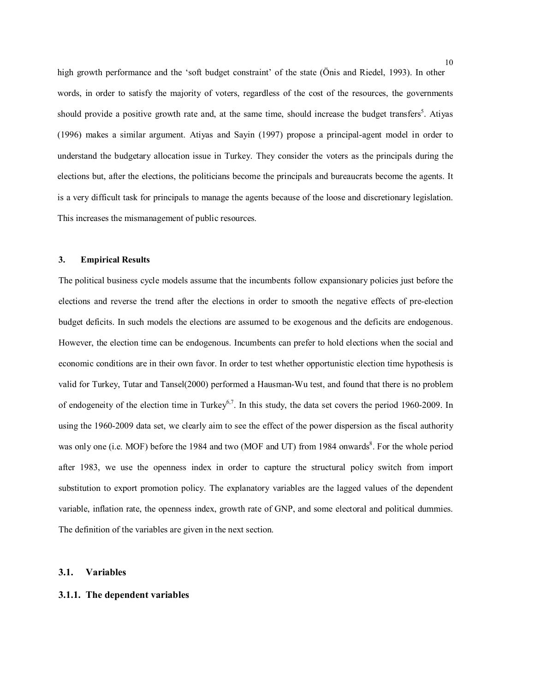high growth performance and the 'soft budget constraint' of the state (Önis and Riedel, 1993). In other words, in order to satisfy the majority of voters, regardless of the cost of the resources, the governments should provide a positive growth rate and, at the same time, should increase the budget transfers<sup>5</sup>. Atiyas (1996) makes a similar argument. Atiyas and Sayin (1997) propose a principal-agent model in order to understand the budgetary allocation issue in Turkey. They consider the voters as the principals during the elections but, after the elections, the politicians become the principals and bureaucrats become the agents. It is a very difficult task for principals to manage the agents because of the loose and discretionary legislation. This increases the mismanagement of public resources.

# **3. Empirical Results**

The political business cycle models assume that the incumbents follow expansionary policies just before the elections and reverse the trend after the elections in order to smooth the negative effects of pre-election budget deficits. In such models the elections are assumed to be exogenous and the deficits are endogenous. However, the election time can be endogenous. Incumbents can prefer to hold elections when the social and economic conditions are in their own favor. In order to test whether opportunistic election time hypothesis is valid for Turkey, Tutar and Tansel(2000) performed a Hausman-Wu test, and found that there is no problem of endogeneity of the election time in Turkey<sup>6,7</sup>. In this study, the data set covers the period 1960-2009. In using the 1960-2009 data set, we clearly aim to see the effect of the power dispersion as the fiscal authority was only one (i.e. MOF) before the 1984 and two (MOF and UT) from 1984 onwards<sup>8</sup>. For the whole period after 1983, we use the openness index in order to capture the structural policy switch from import substitution to export promotion policy. The explanatory variables are the lagged values of the dependent variable, inflation rate, the openness index, growth rate of GNP, and some electoral and political dummies. The definition of the variables are given in the next section.

#### **3.1. Variables**

#### **3.1.1. The dependent variables**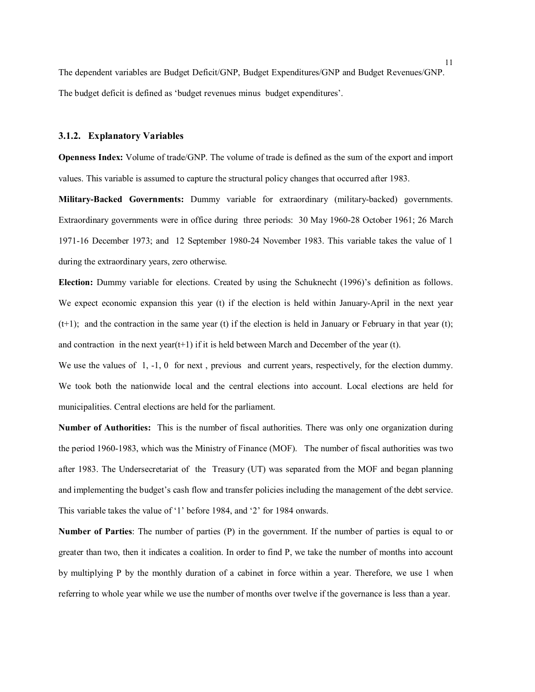The dependent variables are Budget Deficit/GNP, Budget Expenditures/GNP and Budget Revenues/GNP. The budget deficit is defined as 'budget revenues minus budget expenditures'.

#### **3.1.2. Explanatory Variables**

**Openness Index:** Volume of trade/GNP. The volume of trade is defined as the sum of the export and import values. This variable is assumed to capture the structural policy changes that occurred after 1983.

**Military-Backed Governments:** Dummy variable for extraordinary (military-backed) governments. Extraordinary governments were in office during three periods: 30 May 1960-28 October 1961; 26 March 1971-16 December 1973; and 12 September 1980-24 November 1983. This variable takes the value of 1 during the extraordinary years, zero otherwise.

**Election:** Dummy variable for elections. Created by using the Schuknecht (1996)'s definition as follows. We expect economic expansion this year (t) if the election is held within January-April in the next year  $(t+1)$ ; and the contraction in the same year (t) if the election is held in January or February in that year (t); and contraction in the next year( $t+1$ ) if it is held between March and December of the year (t).

We use the values of 1, -1, 0 for next, previous and current years, respectively, for the election dummy. We took both the nationwide local and the central elections into account. Local elections are held for municipalities. Central elections are held for the parliament.

**Number of Authorities:** This is the number of fiscal authorities. There was only one organization during the period 1960-1983, which was the Ministry of Finance (MOF). The number of fiscal authorities was two after 1983. The Undersecretariat of the Treasury (UT) was separated from the MOF and began planning and implementing the budget's cash flow and transfer policies including the management of the debt service. This variable takes the value of '1' before 1984, and '2' for 1984 onwards.

**Number of Parties**: The number of parties (P) in the government. If the number of parties is equal to or greater than two, then it indicates a coalition. In order to find P, we take the number of months into account by multiplying P by the monthly duration of a cabinet in force within a year. Therefore, we use 1 when referring to whole year while we use the number of months over twelve if the governance is less than a year.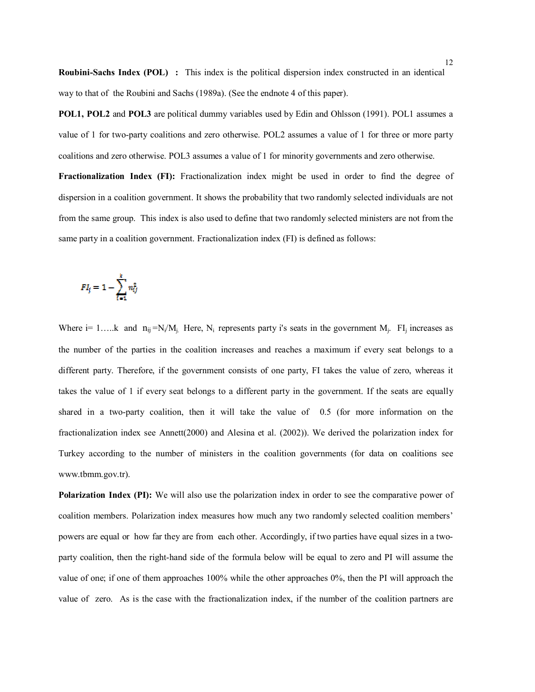**Roubini-Sachs Index (POL) :** This index is the political dispersion index constructed in an identical way to that of the Roubini and Sachs (1989a). (See the endnote 4 of this paper).

**POL1, POL2** and **POL3** are political dummy variables used by Edin and Ohlsson (1991). POL1 assumes a value of 1 for two-party coalitions and zero otherwise. POL2 assumes a value of 1 for three or more party coalitions and zero otherwise. POL3 assumes a value of 1 for minority governments and zero otherwise. **Fractionalization Index (FI):** Fractionalization index might be used in order to find the degree of dispersion in a coalition government. It shows the probability that two randomly selected individuals are not from the same group. This index is also used to define that two randomly selected ministers are not from the same party in a coalition government. Fractionalization index (FI) is defined as follows:

$$
Fl_j = 1 - \sum_{i=1}^k n_{ij}^2
$$

Where i= 1....k and  $n_{ij} = N_i/M_j$ . Here,  $N_i$  represents party i's seats in the government  $M_j$ . FI<sub>j</sub> increases as the number of the parties in the coalition increases and reaches a maximum if every seat belongs to a different party. Therefore, if the government consists of one party, FI takes the value of zero, whereas it takes the value of 1 if every seat belongs to a different party in the government. If the seats are equally shared in a two-party coalition, then it will take the value of 0.5 (for more information on the fractionalization index see Annett(2000) and Alesina et al. (2002)). We derived the polarization index for Turkey according to the number of ministers in the coalition governments (for data on coalitions see www.tbmm.gov.tr).

**Polarization Index (PI):** We will also use the polarization index in order to see the comparative power of coalition members. Polarization index measures how much any two randomly selected coalition members' powers are equal or how far they are from each other. Accordingly, if two parties have equal sizes in a twoparty coalition, then the right-hand side of the formula below will be equal to zero and PI will assume the value of one; if one of them approaches 100% while the other approaches 0%, then the PI will approach the value of zero. As is the case with the fractionalization index, if the number of the coalition partners are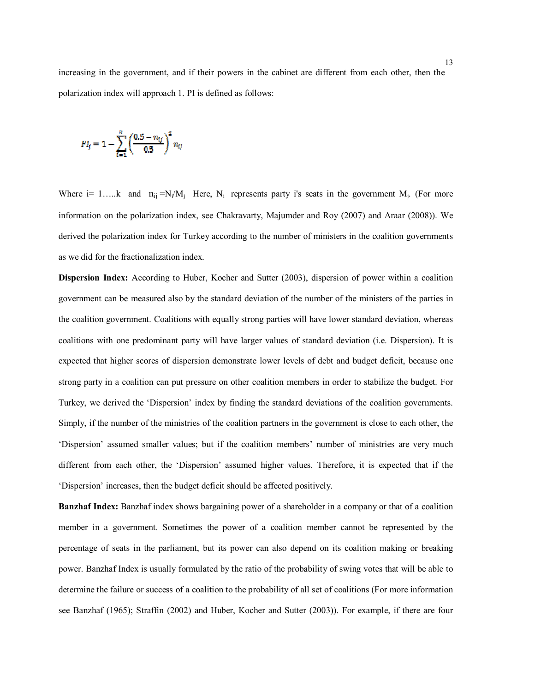increasing in the government, and if their powers in the cabinet are different from each other, then the polarization index will approach 1. PI is defined as follows:

$$
PI_j = 1 - \sum_{i=1}^{k} \left( \frac{0.5 - n_{ij}}{0.5} \right)^2 n_{ij}
$$

Where i= 1.....k and  $n_{ij} = N_i/M_j$  Here,  $N_i$  represents party i's seats in the government  $M_j$ . (For more information on the polarization index, see Chakravarty, Majumder and Roy (2007) and Araar (2008)). We derived the polarization index for Turkey according to the number of ministers in the coalition governments as we did for the fractionalization index.

**Dispersion Index:** According to Huber, Kocher and Sutter (2003), dispersion of power within a coalition government can be measured also by the standard deviation of the number of the ministers of the parties in the coalition government. Coalitions with equally strong parties will have lower standard deviation, whereas coalitions with one predominant party will have larger values of standard deviation (i.e. Dispersion). It is expected that higher scores of dispersion demonstrate lower levels of debt and budget deficit, because one strong party in a coalition can put pressure on other coalition members in order to stabilize the budget. For Turkey, we derived the 'Dispersion' index by finding the standard deviations of the coalition governments. Simply, if the number of the ministries of the coalition partners in the government is close to each other, the 'Dispersion' assumed smaller values; but if the coalition members' number of ministries are very much different from each other, the 'Dispersion' assumed higher values. Therefore, it is expected that if the 'Dispersion' increases, then the budget deficit should be affected positively.

**Banzhaf Index:** Banzhaf index shows bargaining power of a shareholder in a company or that of a coalition member in a government. Sometimes the power of a coalition member cannot be represented by the percentage of seats in the parliament, but its power can also depend on its coalition making or breaking power. Banzhaf Index is usually formulated by the ratio of the probability of swing votes that will be able to determine the failure or success of a coalition to the probability of all set of coalitions (For more information see Banzhaf (1965); Straffin (2002) and Huber, Kocher and Sutter (2003)). For example, if there are four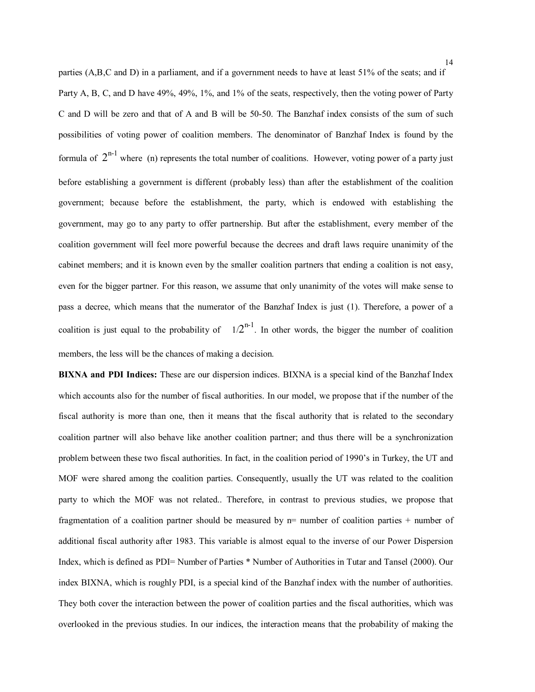parties (A,B,C and D) in a parliament, and if a government needs to have at least 51% of the seats; and if Party A, B, C, and D have 49%, 49%, 1%, and 1% of the seats, respectively, then the voting power of Party C and D will be zero and that of A and B will be 50-50. The Banzhaf index consists of the sum of such possibilities of voting power of coalition members. The denominator of Banzhaf Index is found by the formula of  $2^{n-1}$  where (n) represents the total number of coalitions. However, voting power of a party just before establishing a government is different (probably less) than after the establishment of the coalition government; because before the establishment, the party, which is endowed with establishing the government, may go to any party to offer partnership. But after the establishment, every member of the coalition government will feel more powerful because the decrees and draft laws require unanimity of the cabinet members; and it is known even by the smaller coalition partners that ending a coalition is not easy, even for the bigger partner. For this reason, we assume that only unanimity of the votes will make sense to pass a decree, which means that the numerator of the Banzhaf Index is just (1). Therefore, a power of a coalition is just equal to the probability of  $1/2^{n-1}$ . In other words, the bigger the number of coalition members, the less will be the chances of making a decision.

**BIXNA and PDI Indices:** These are our dispersion indices. BIXNA is a special kind of the Banzhaf Index which accounts also for the number of fiscal authorities. In our model, we propose that if the number of the fiscal authority is more than one, then it means that the fiscal authority that is related to the secondary coalition partner will also behave like another coalition partner; and thus there will be a synchronization problem between these two fiscal authorities. In fact, in the coalition period of 1990's in Turkey, the UT and MOF were shared among the coalition parties. Consequently, usually the UT was related to the coalition party to which the MOF was not related.. Therefore, in contrast to previous studies, we propose that fragmentation of a coalition partner should be measured by  $n=$  number of coalition parties  $+$  number of additional fiscal authority after 1983. This variable is almost equal to the inverse of our Power Dispersion Index, which is defined as PDI= Number of Parties \* Number of Authorities in Tutar and Tansel (2000). Our index BIXNA, which is roughly PDI, is a special kind of the Banzhaf index with the number of authorities. They both cover the interaction between the power of coalition parties and the fiscal authorities, which was overlooked in the previous studies. In our indices, the interaction means that the probability of making the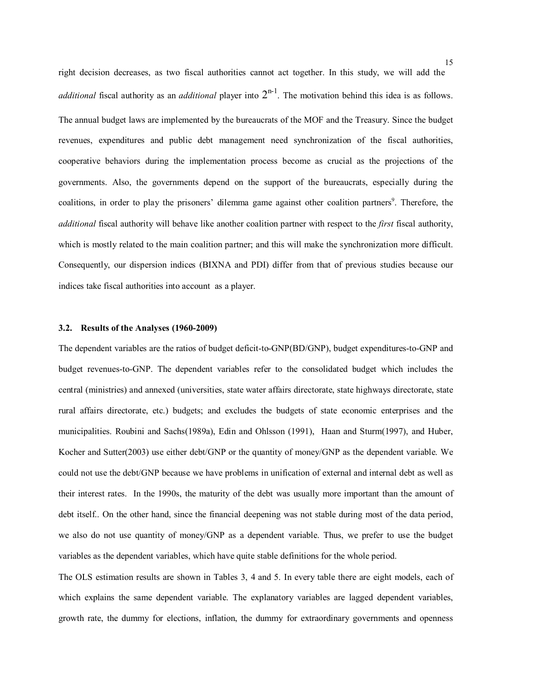right decision decreases, as two fiscal authorities cannot act together. In this study, we will add the *additional* fiscal authority as an *additional* player into  $2^{n-1}$ . The motivation behind this idea is as follows. The annual budget laws are implemented by the bureaucrats of the MOF and the Treasury. Since the budget revenues, expenditures and public debt management need synchronization of the fiscal authorities, cooperative behaviors during the implementation process become as crucial as the projections of the governments. Also, the governments depend on the support of the bureaucrats, especially during the coalitions, in order to play the prisoners' dilemma game against other coalition partners<sup>9</sup>. Therefore, the *additional* fiscal authority will behave like another coalition partner with respect to the *first* fiscal authority, which is mostly related to the main coalition partner; and this will make the synchronization more difficult. Consequently, our dispersion indices (BIXNA and PDI) differ from that of previous studies because our indices take fiscal authorities into account as a player.

#### **3.2. Results of the Analyses (1960-2009)**

The dependent variables are the ratios of budget deficit-to-GNP(BD/GNP), budget expenditures-to-GNP and budget revenues-to-GNP. The dependent variables refer to the consolidated budget which includes the central (ministries) and annexed (universities, state water affairs directorate, state highways directorate, state rural affairs directorate, etc.) budgets; and excludes the budgets of state economic enterprises and the municipalities. Roubini and Sachs(1989a), Edin and Ohlsson (1991), Haan and Sturm(1997), and Huber, Kocher and Sutter(2003) use either debt/GNP or the quantity of money/GNP as the dependent variable. We could not use the debt/GNP because we have problems in unification of external and internal debt as well as their interest rates. In the 1990s, the maturity of the debt was usually more important than the amount of debt itself.. On the other hand, since the financial deepening was not stable during most of the data period, we also do not use quantity of money/GNP as a dependent variable. Thus, we prefer to use the budget variables as the dependent variables, which have quite stable definitions for the whole period.

The OLS estimation results are shown in Tables 3, 4 and 5. In every table there are eight models, each of which explains the same dependent variable. The explanatory variables are lagged dependent variables, growth rate, the dummy for elections, inflation, the dummy for extraordinary governments and openness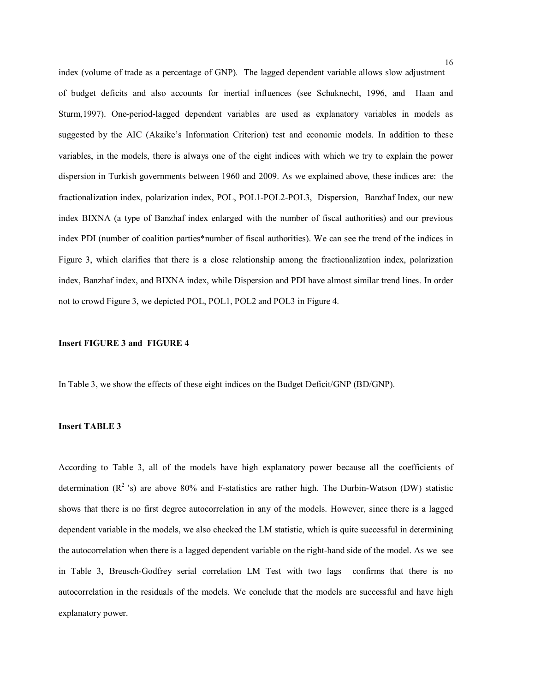index (volume of trade as a percentage of GNP). The lagged dependent variable allows slow adjustment of budget deficits and also accounts for inertial influences (see Schuknecht, 1996, and Haan and Sturm,1997). One-period-lagged dependent variables are used as explanatory variables in models as suggested by the AIC (Akaike's Information Criterion) test and economic models. In addition to these variables, in the models, there is always one of the eight indices with which we try to explain the power dispersion in Turkish governments between 1960 and 2009. As we explained above, these indices are: the fractionalization index, polarization index, POL, POL1-POL2-POL3, Dispersion, Banzhaf Index, our new index BIXNA (a type of Banzhaf index enlarged with the number of fiscal authorities) and our previous index PDI (number of coalition parties\*number of fiscal authorities). We can see the trend of the indices in Figure 3, which clarifies that there is a close relationship among the fractionalization index, polarization index, Banzhaf index, and BIXNA index, while Dispersion and PDI have almost similar trend lines. In order not to crowd Figure 3, we depicted POL, POL1, POL2 and POL3 in Figure 4.

#### **Insert FIGURE 3 and FIGURE 4**

In Table 3, we show the effects of these eight indices on the Budget Deficit/GNP (BD/GNP).

# **Insert TABLE 3**

According to Table 3, all of the models have high explanatory power because all the coefficients of determination  $(R^2 \text{'s})$  are above 80% and F-statistics are rather high. The Durbin-Watson (DW) statistic shows that there is no first degree autocorrelation in any of the models. However, since there is a lagged dependent variable in the models, we also checked the LM statistic, which is quite successful in determining the autocorrelation when there is a lagged dependent variable on the right-hand side of the model. As we see in Table 3, Breusch-Godfrey serial correlation LM Test with two lags confirms that there is no autocorrelation in the residuals of the models. We conclude that the models are successful and have high explanatory power.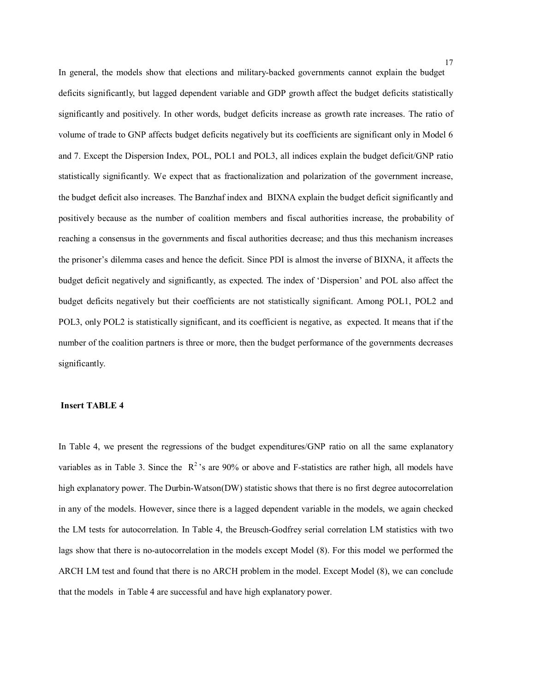In general, the models show that elections and military-backed governments cannot explain the budget deficits significantly, but lagged dependent variable and GDP growth affect the budget deficits statistically significantly and positively. In other words, budget deficits increase as growth rate increases. The ratio of volume of trade to GNP affects budget deficits negatively but its coefficients are significant only in Model 6 and 7. Except the Dispersion Index, POL, POL1 and POL3, all indices explain the budget deficit/GNP ratio statistically significantly. We expect that as fractionalization and polarization of the government increase, the budget deficit also increases. The Banzhaf index and BIXNA explain the budget deficit significantly and positively because as the number of coalition members and fiscal authorities increase, the probability of reaching a consensus in the governments and fiscal authorities decrease; and thus this mechanism increases the prisoner's dilemma cases and hence the deficit. Since PDI is almost the inverse of BIXNA, it affects the budget deficit negatively and significantly, as expected. The index of 'Dispersion' and POL also affect the budget deficits negatively but their coefficients are not statistically significant. Among POL1, POL2 and POL3, only POL2 is statistically significant, and its coefficient is negative, as expected. It means that if the number of the coalition partners is three or more, then the budget performance of the governments decreases significantly.

# **Insert TABLE 4**

In Table 4, we present the regressions of the budget expenditures/GNP ratio on all the same explanatory variables as in Table 3. Since the  $R^2$ 's are 90% or above and F-statistics are rather high, all models have high explanatory power. The Durbin-Watson(DW) statistic shows that there is no first degree autocorrelation in any of the models. However, since there is a lagged dependent variable in the models, we again checked the LM tests for autocorrelation. In Table 4, the Breusch-Godfrey serial correlation LM statistics with two lags show that there is no-autocorrelation in the models except Model (8). For this model we performed the ARCH LM test and found that there is no ARCH problem in the model. Except Model (8), we can conclude that the models in Table 4 are successful and have high explanatory power.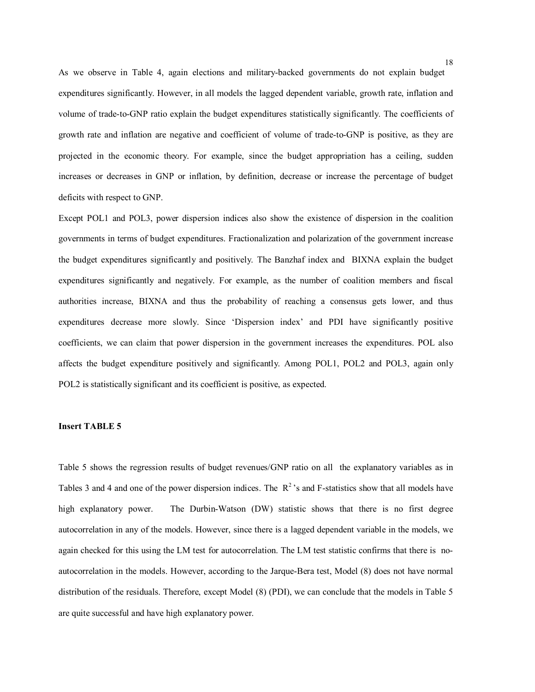As we observe in Table 4, again elections and military-backed governments do not explain budget expenditures significantly. However, in all models the lagged dependent variable, growth rate, inflation and volume of trade-to-GNP ratio explain the budget expenditures statistically significantly. The coefficients of growth rate and inflation are negative and coefficient of volume of trade-to-GNP is positive, as they are projected in the economic theory. For example, since the budget appropriation has a ceiling, sudden increases or decreases in GNP or inflation, by definition, decrease or increase the percentage of budget deficits with respect to GNP.

Except POL1 and POL3, power dispersion indices also show the existence of dispersion in the coalition governments in terms of budget expenditures. Fractionalization and polarization of the government increase the budget expenditures significantly and positively. The Banzhaf index and BIXNA explain the budget expenditures significantly and negatively. For example, as the number of coalition members and fiscal authorities increase, BIXNA and thus the probability of reaching a consensus gets lower, and thus expenditures decrease more slowly. Since 'Dispersion index' and PDI have significantly positive coefficients, we can claim that power dispersion in the government increases the expenditures. POL also affects the budget expenditure positively and significantly. Among POL1, POL2 and POL3, again only POL2 is statistically significant and its coefficient is positive, as expected.

# **Insert TABLE 5**

Table 5 shows the regression results of budget revenues/GNP ratio on all the explanatory variables as in Tables 3 and 4 and one of the power dispersion indices. The  $R^2$ 's and F-statistics show that all models have high explanatory power. The Durbin-Watson (DW) statistic shows that there is no first degree autocorrelation in any of the models. However, since there is a lagged dependent variable in the models, we again checked for this using the LM test for autocorrelation. The LM test statistic confirms that there is noautocorrelation in the models. However, according to the Jarque-Bera test, Model (8) does not have normal distribution of the residuals. Therefore, except Model (8) (PDI), we can conclude that the models in Table 5 are quite successful and have high explanatory power.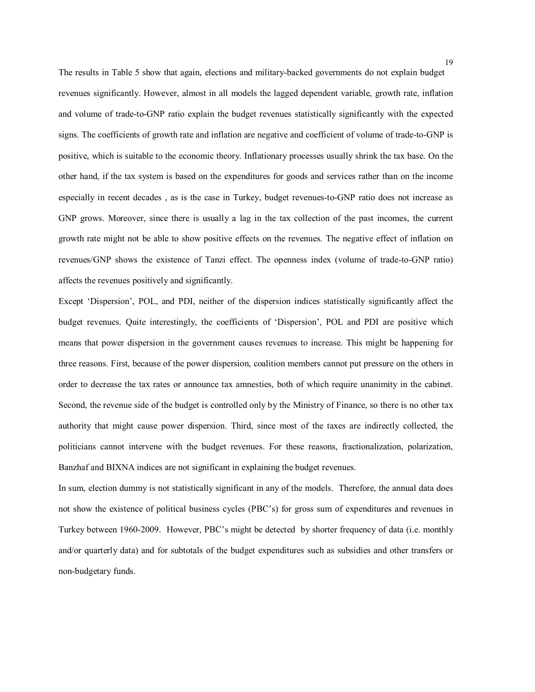The results in Table 5 show that again, elections and military-backed governments do not explain budget revenues significantly. However, almost in all models the lagged dependent variable, growth rate, inflation and volume of trade-to-GNP ratio explain the budget revenues statistically significantly with the expected signs. The coefficients of growth rate and inflation are negative and coefficient of volume of trade-to-GNP is positive, which is suitable to the economic theory. Inflationary processes usually shrink the tax base. On the other hand, if the tax system is based on the expenditures for goods and services rather than on the income especially in recent decades , as is the case in Turkey, budget revenues-to-GNP ratio does not increase as GNP grows. Moreover, since there is usually a lag in the tax collection of the past incomes, the current growth rate might not be able to show positive effects on the revenues. The negative effect of inflation on revenues/GNP shows the existence of Tanzi effect. The openness index (volume of trade-to-GNP ratio) affects the revenues positively and significantly.

Except 'Dispersion', POL, and PDI, neither of the dispersion indices statistically significantly affect the budget revenues. Quite interestingly, the coefficients of 'Dispersion', POL and PDI are positive which means that power dispersion in the government causes revenues to increase. This might be happening for three reasons. First, because of the power dispersion, coalition members cannot put pressure on the others in order to decrease the tax rates or announce tax amnesties, both of which require unanimity in the cabinet. Second, the revenue side of the budget is controlled only by the Ministry of Finance, so there is no other tax authority that might cause power dispersion. Third, since most of the taxes are indirectly collected, the politicians cannot intervene with the budget revenues. For these reasons, fractionalization, polarization, Banzhaf and BIXNA indices are not significant in explaining the budget revenues.

In sum, election dummy is not statistically significant in any of the models. Therefore, the annual data does not show the existence of political business cycles (PBC's) for gross sum of expenditures and revenues in Turkey between 1960-2009. However, PBC's might be detected by shorter frequency of data (i.e. monthly and/or quarterly data) and for subtotals of the budget expenditures such as subsidies and other transfers or non-budgetary funds.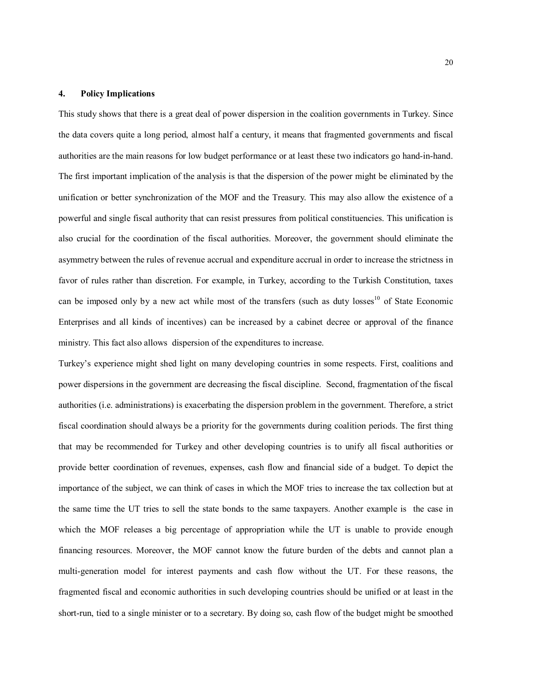# **4. Policy Implications**

This study shows that there is a great deal of power dispersion in the coalition governments in Turkey. Since the data covers quite a long period, almost half a century, it means that fragmented governments and fiscal authorities are the main reasons for low budget performance or at least these two indicators go hand-in-hand. The first important implication of the analysis is that the dispersion of the power might be eliminated by the unification or better synchronization of the MOF and the Treasury. This may also allow the existence of a powerful and single fiscal authority that can resist pressures from political constituencies. This unification is also crucial for the coordination of the fiscal authorities. Moreover, the government should eliminate the asymmetry between the rules of revenue accrual and expenditure accrual in order to increase the strictness in favor of rules rather than discretion. For example, in Turkey, according to the Turkish Constitution, taxes can be imposed only by a new act while most of the transfers (such as duty losses<sup>10</sup> of State Economic Enterprises and all kinds of incentives) can be increased by a cabinet decree or approval of the finance ministry. This fact also allows dispersion of the expenditures to increase.

Turkey's experience might shed light on many developing countries in some respects. First, coalitions and power dispersions in the government are decreasing the fiscal discipline. Second, fragmentation of the fiscal authorities (i.e. administrations) is exacerbating the dispersion problem in the government. Therefore, a strict fiscal coordination should always be a priority for the governments during coalition periods. The first thing that may be recommended for Turkey and other developing countries is to unify all fiscal authorities or provide better coordination of revenues, expenses, cash flow and financial side of a budget. To depict the importance of the subject, we can think of cases in which the MOF tries to increase the tax collection but at the same time the UT tries to sell the state bonds to the same taxpayers. Another example is the case in which the MOF releases a big percentage of appropriation while the UT is unable to provide enough financing resources. Moreover, the MOF cannot know the future burden of the debts and cannot plan a multi-generation model for interest payments and cash flow without the UT. For these reasons, the fragmented fiscal and economic authorities in such developing countries should be unified or at least in the short-run, tied to a single minister or to a secretary. By doing so, cash flow of the budget might be smoothed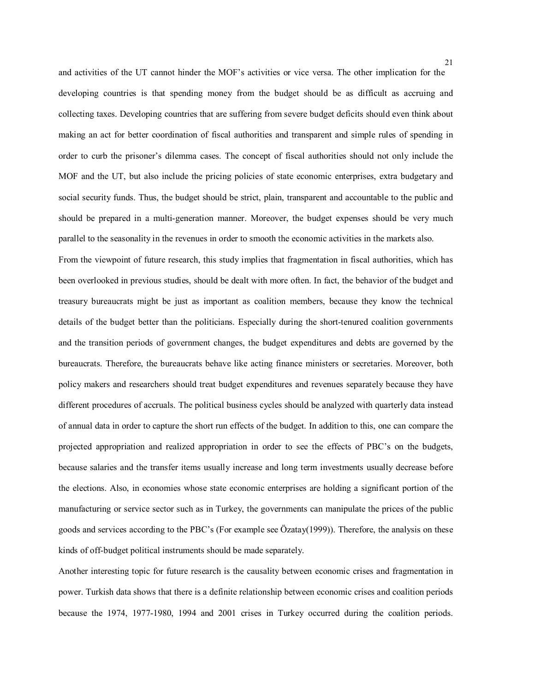and activities of the UT cannot hinder the MOF's activities or vice versa. The other implication for the developing countries is that spending money from the budget should be as difficult as accruing and collecting taxes. Developing countries that are suffering from severe budget deficits should even think about making an act for better coordination of fiscal authorities and transparent and simple rules of spending in order to curb the prisoner's dilemma cases. The concept of fiscal authorities should not only include the MOF and the UT, but also include the pricing policies of state economic enterprises, extra budgetary and social security funds. Thus, the budget should be strict, plain, transparent and accountable to the public and should be prepared in a multi-generation manner. Moreover, the budget expenses should be very much parallel to the seasonality in the revenues in order to smooth the economic activities in the markets also.

From the viewpoint of future research, this study implies that fragmentation in fiscal authorities, which has been overlooked in previous studies, should be dealt with more often. In fact, the behavior of the budget and treasury bureaucrats might be just as important as coalition members, because they know the technical details of the budget better than the politicians. Especially during the short-tenured coalition governments and the transition periods of government changes, the budget expenditures and debts are governed by the bureaucrats. Therefore, the bureaucrats behave like acting finance ministers or secretaries. Moreover, both policy makers and researchers should treat budget expenditures and revenues separately because they have different procedures of accruals. The political business cycles should be analyzed with quarterly data instead of annual data in order to capture the short run effects of the budget. In addition to this, one can compare the projected appropriation and realized appropriation in order to see the effects of PBC's on the budgets, because salaries and the transfer items usually increase and long term investments usually decrease before the elections. Also, in economies whose state economic enterprises are holding a significant portion of the manufacturing or service sector such as in Turkey, the governments can manipulate the prices of the public goods and services according to the PBC's (For example see Özatay(1999)). Therefore, the analysis on these kinds of off-budget political instruments should be made separately.

Another interesting topic for future research is the causality between economic crises and fragmentation in power. Turkish data shows that there is a definite relationship between economic crises and coalition periods because the 1974, 1977-1980, 1994 and 2001 crises in Turkey occurred during the coalition periods.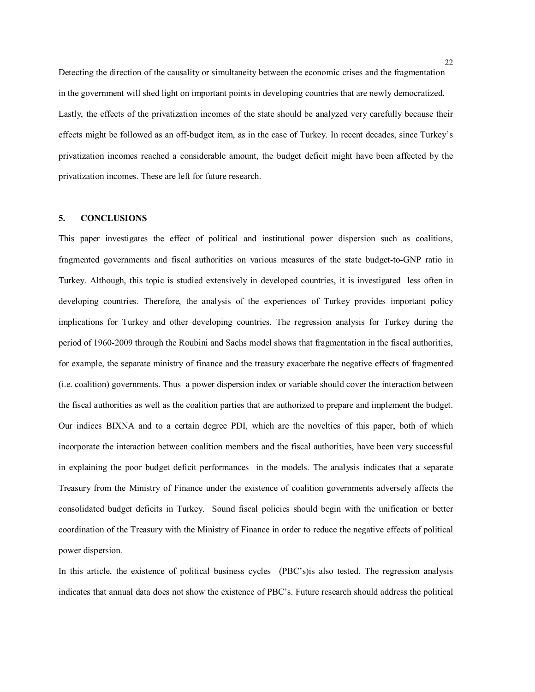Detecting the direction of the causality or simultaneity between the economic crises and the fragmentation in the government will shed light on important points in developing countries that are newly democratized. Lastly, the effects of the privatization incomes of the state should be analyzed very carefully because their effects might be followed as an off-budget item, as in the case of Turkey. In recent decades, since Turkey's privatization incomes reached a considerable amount, the budget deficit might have been affected by the privatization incomes. These are left for future research.

# **5. CONCLUSIONS**

This paper investigates the effect of political and institutional power dispersion such as coalitions, fragmented governments and fiscal authorities on various measures of the state budget-to-GNP ratio in Turkey. Although, this topic is studied extensively in developed countries, it is investigated less often in developing countries. Therefore, the analysis of the experiences of Turkey provides important policy implications for Turkey and other developing countries. The regression analysis for Turkey during the period of 1960-2009 through the Roubini and Sachs model shows that fragmentation in the fiscal authorities, for example, the separate ministry of finance and the treasury exacerbate the negative effects of fragmented (i.e. coalition) governments. Thus a power dispersion index or variable should cover the interaction between the fiscal authorities as well as the coalition parties that are authorized to prepare and implement the budget. Our indices BIXNA and to a certain degree PDI, which are the novelties of this paper, both of which incorporate the interaction between coalition members and the fiscal authorities, have been very successful in explaining the poor budget deficit performances in the models. The analysis indicates that a separate Treasury from the Ministry of Finance under the existence of coalition governments adversely affects the consolidated budget deficits in Turkey. Sound fiscal policies should begin with the unification or better coordination of the Treasury with the Ministry of Finance in order to reduce the negative effects of political power dispersion.

In this article, the existence of political business cycles (PBC's)is also tested. The regression analysis indicates that annual data does not show the existence of PBC's. Future research should address the political

22<br>22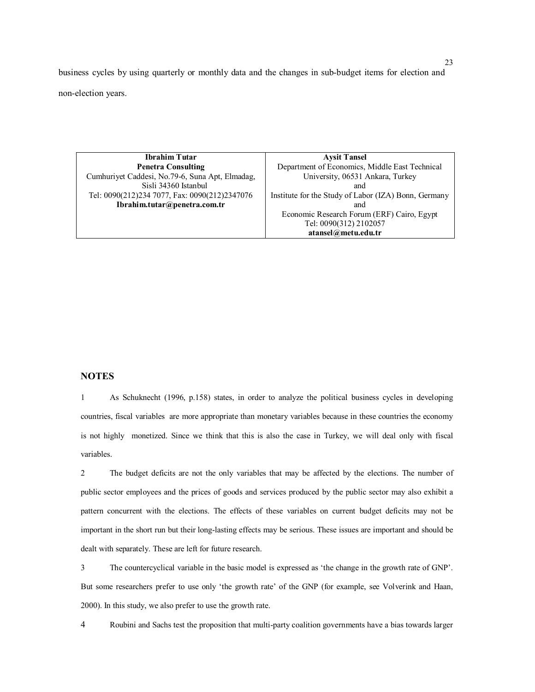business cycles by using quarterly or monthly data and the changes in sub-budget items for election and non-election years.

| Ibrahim Tutar                                   | <b>Aysit Tansel</b>                                  |  |  |
|-------------------------------------------------|------------------------------------------------------|--|--|
| <b>Penetra Consulting</b>                       | Department of Economics, Middle East Technical       |  |  |
| Cumhuriyet Caddesi, No.79-6, Suna Apt, Elmadag, | University, 06531 Ankara, Turkey                     |  |  |
| Sisli 34360 Istanbul                            | and                                                  |  |  |
| Tel: 0090(212)234 7077, Fax: 0090(212)2347076   | Institute for the Study of Labor (IZA) Bonn, Germany |  |  |
| Ibrahim.tutar@penetra.com.tr                    | and                                                  |  |  |
|                                                 | Economic Research Forum (ERF) Cairo, Egypt           |  |  |
|                                                 | Tel: 0090(312) 2102057                               |  |  |
|                                                 | atansel@metu.edu.tr                                  |  |  |

# **NOTES**

1 As Schuknecht (1996, p.158) states, in order to analyze the political business cycles in developing countries, fiscal variables are more appropriate than monetary variables because in these countries the economy is not highly monetized. Since we think that this is also the case in Turkey, we will deal only with fiscal variables.

2 The budget deficits are not the only variables that may be affected by the elections. The number of public sector employees and the prices of goods and services produced by the public sector may also exhibit a pattern concurrent with the elections. The effects of these variables on current budget deficits may not be important in the short run but their long-lasting effects may be serious. These issues are important and should be dealt with separately. These are left for future research.

3 The countercyclical variable in the basic model is expressed as 'the change in the growth rate of GNP'. But some researchers prefer to use only 'the growth rate' of the GNP (for example, see Volverink and Haan, 2000). In this study, we also prefer to use the growth rate.

4 Roubini and Sachs test the proposition that multi-party coalition governments have a bias towards larger

23<br>23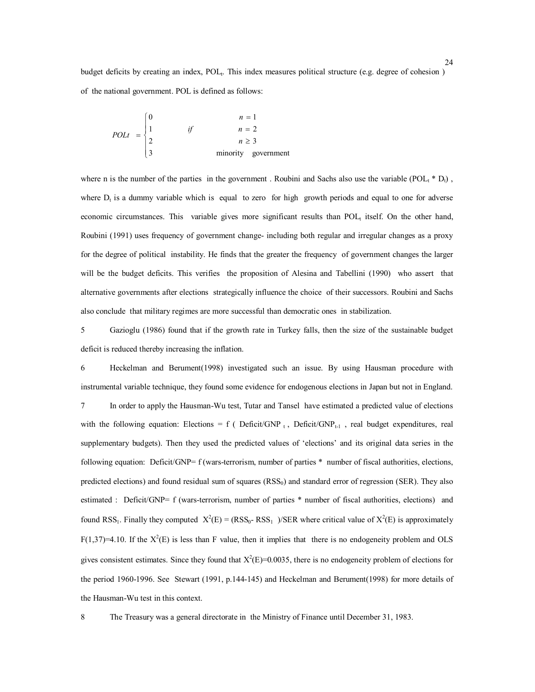budget deficits by creating an index, POL<sub>t</sub>. This index measures political structure (e.g. degree of cohesion) of the national government. POL is defined as follows:

$$
POLt = \begin{cases} 0 & n = 1 \\ 1 & if & n = 2 \\ 2 & n \ge 3 \\ 3 & \text{minority government} \end{cases}
$$

where n is the number of the parties in the government. Roubini and Sachs also use the variable (POL<sub>t</sub> \* D<sub>t</sub>), where  $D_t$  is a dummy variable which is equal to zero for high growth periods and equal to one for adverse economic circumstances. This variable gives more significant results than  $POL<sub>t</sub>$  itself. On the other hand, Roubini (1991) uses frequency of government change- including both regular and irregular changes as a proxy for the degree of political instability. He finds that the greater the frequency of government changes the larger will be the budget deficits. This verifies the proposition of Alesina and Tabellini (1990) who assert that alternative governments after elections strategically influence the choice of their successors. Roubini and Sachs also conclude that military regimes are more successful than democratic ones in stabilization.

5 Gazioglu (1986) found that if the growth rate in Turkey falls, then the size of the sustainable budget deficit is reduced thereby increasing the inflation.

6 Heckelman and Berument(1998) investigated such an issue. By using Hausman procedure with instrumental variable technique, they found some evidence for endogenous elections in Japan but not in England. 7 In order to apply the Hausman-Wu test, Tutar and Tansel have estimated a predicted value of elections with the following equation: Elections = f ( $DeficitGNP_t$ ,  $DeficitGNP_{t-1}$ , real budget expenditures, real supplementary budgets). Then they used the predicted values of 'elections' and its original data series in the following equation: Deficit/GNP= f (wars-terrorism, number of parties \* number of fiscal authorities, elections, predicted elections) and found residual sum of squares  $(RSS<sub>0</sub>)$  and standard error of regression (SER). They also estimated : Deficit/GNP= f (wars-terrorism, number of parties \* number of fiscal authorities, elections) and found RSS<sub>1</sub>. Finally they computed  $X^2(E) = (RSS_0 - RSS_1) / SER$  where critical value of  $X^2(E)$  is approximately  $F(1,37)=4.10$ . If the  $X^2(E)$  is less than F value, then it implies that there is no endogeneity problem and OLS gives consistent estimates. Since they found that  $X^2(E)=0.0035$ , there is no endogeneity problem of elections for the period 1960-1996. See Stewart (1991, p.144-145) and Heckelman and Berument(1998) for more details of the Hausman-Wu test in this context.

8 The Treasury was a general directorate in the Ministry of Finance until December 31, 1983.

 $\frac{24}{24}$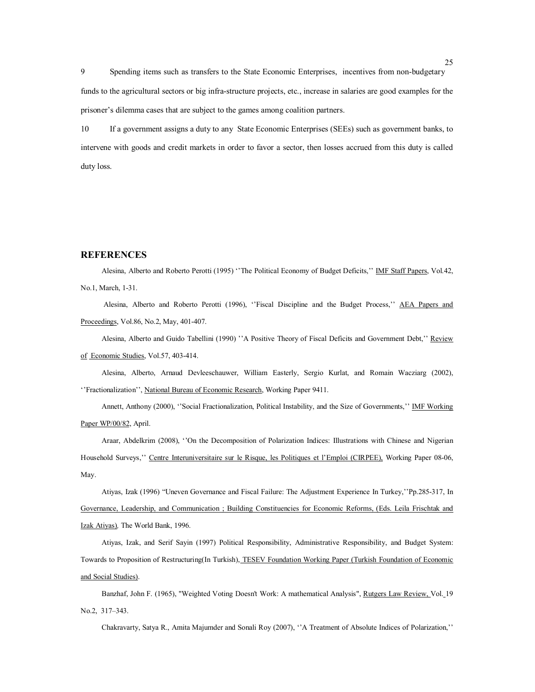9 Spending items such as transfers to the State Economic Enterprises, incentives from non-budgetary funds to the agricultural sectors or big infra-structure projects, etc., increase in salaries are good examples for the prisoner's dilemma cases that are subject to the games among coalition partners.

10 If a government assigns a duty to any State Economic Enterprises (SEEs) such as government banks, to intervene with goods and credit markets in order to favor a sector, then losses accrued from this duty is called duty loss.

#### **REFERENCES**

Alesina, Alberto and Roberto Perotti (1995) ''The Political Economy of Budget Deficits,'' IMF Staff Papers, Vol.42, No.1, March, 1-31.

Alesina, Alberto and Roberto Perotti (1996), "Fiscal Discipline and the Budget Process," AEA Papers and Proceedings, Vol.86, No.2, May, 401-407.

Alesina, Alberto and Guido Tabellini (1990) "A Positive Theory of Fiscal Deficits and Government Debt," Review of Economic Studies, Vol.57, 403-414.

Alesina, Alberto, Arnaud Devleeschauwer, William Easterly, Sergio Kurlat, and Romain Wacziarg (2002), ''Fractionalization'', National Bureau of Economic Research, Working Paper 9411.

Annett, Anthony (2000), ''Social Fractionalization, Political Instability, and the Size of Governments,'' IMF Working Paper WP/00/82, April.

Araar, Abdelkrim (2008), ''On the Decomposition of Polarization Indices: Illustrations with Chinese and Nigerian Household Surveys," Centre Interuniversitaire sur le Risque, les Politiques et l'Emploi (CIRPEE), Working Paper 08-06, May.

Atiyas, Izak (1996) "Uneven Governance and Fiscal Failure: The Adjustment Experience In Turkey,''Pp.285-317, In Governance, Leadership, and Communication ; Building Constituencies for Economic Reforms, (Eds. Leila Frischtak and Izak Atiyas)*,* The World Bank, 1996.

Atiyas, Izak, and Serif Sayin (1997) Political Responsibility, Administrative Responsibility, and Budget System: Towards to Proposition of Restructuring(In Turkish), TESEV Foundation Working Paper (Turkish Foundation of Economic and Social Studies).

Banzhaf, John F. (1965), "Weighted Voting Doesn't Work: A mathematical Analysis", Rutgers Law Review, Vol. 19 No.2, 317–343.

Chakravarty, Satya R., Amita Majumder and Sonali Roy (2007), ''A Treatment of Absolute Indices of Polarization,''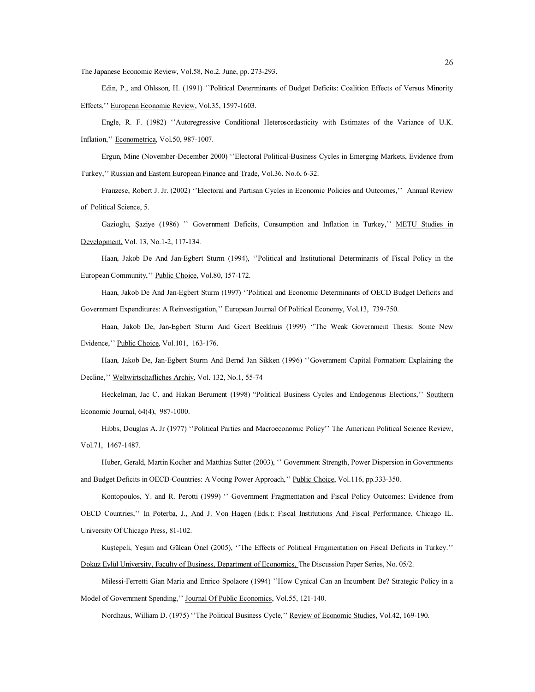The Japanese Economic Review, Vol.58, No.2. June, pp. 273-293.

Edin, P., and Ohlsson, H. (1991) ''Political Determinants of Budget Deficits: Coalition Effects of Versus Minority Effects,'' European Economic Review, Vol.35, 1597-1603.

Engle, R. F. (1982) ''Autoregressive Conditional Heteroscedasticity with Estimates of the Variance of U.K. Inflation,'' Econometrica, Vol.50, 987-1007.

Ergun, Mine (November-December 2000) ''Electoral Political-Business Cycles in Emerging Markets, Evidence from Turkey,'' Russian and Eastern European Finance and Trade, Vol.36. No.6, 6-32.

Franzese, Robert J. Jr. (2002) ''Electoral and Partisan Cycles in Economic Policies and Outcomes,'' Annual Review of Political Science, 5.

Gazioglu, Şaziye (1986) '' Government Deficits, Consumption and Inflation in Turkey,'' METU Studies in Development, Vol. 13, No.1-2, 117-134.

Haan, Jakob De And Jan-Egbert Sturm (1994), ''Political and Institutional Determinants of Fiscal Policy in the European Community,'' Public Choice, Vol.80, 157-172.

Haan, Jakob De And Jan-Egbert Sturm (1997) ''Political and Economic Determinants of OECD Budget Deficits and Government Expenditures: A Reinvestigation," European Journal Of Political Economy, Vol.13, 739-750.

Haan, Jakob De, Jan-Egbert Sturm And Geert Beekhuis (1999) ''The Weak Government Thesis: Some New Evidence,'' Public Choice, Vol.101, 163-176.

Haan, Jakob De, Jan-Egbert Sturm And Bernd Jan Sikken (1996) ''Government Capital Formation: Explaining the Decline,'' Weltwirtschafliches Archiv, Vol. 132, No.1, 55-74

Heckelman, Jac C. and Hakan Berument (1998) "Political Business Cycles and Endogenous Elections," Southern Economic Journal, 64(4), 987-1000.

Hibbs, Douglas A. Jr (1977) "Political Parties and Macroeconomic Policy" The American Political Science Review, Vol.71, 1467-1487.

Huber, Gerald, Martin Kocher and Matthias Sutter (2003), "Government Strength, Power Dispersion in Governments and Budget Deficits in OECD-Countries: A Voting Power Approach,'' Public Choice, Vol.116, pp.333-350.

Kontopoulos, Y. and R. Perotti (1999) '' Government Fragmentation and Fiscal Policy Outcomes: Evidence from OECD Countries,'' In Poterba, J., And J. Von Hagen (Eds.): Fiscal Institutions And Fiscal Performance. Chicago IL. University Of Chicago Press, 81-102.

Kuştepeli, Yeşim and Gülcan Önel (2005), ''The Effects of Political Fragmentation on Fiscal Deficits in Turkey.''

Dokuz Eylül University, Faculty of Business, Department of Economics, The Discussion Paper Series, No. 05/2.

Milessi-Ferretti Gian Maria and Enrico Spolaore (1994) ''How Cynical Can an Incumbent Be? Strategic Policy in a Model of Government Spending,'' Journal Of Public Economics, Vol.55, 121-140.

Nordhaus, William D. (1975) ''The Political Business Cycle," Review of Economic Studies, Vol.42, 169-190.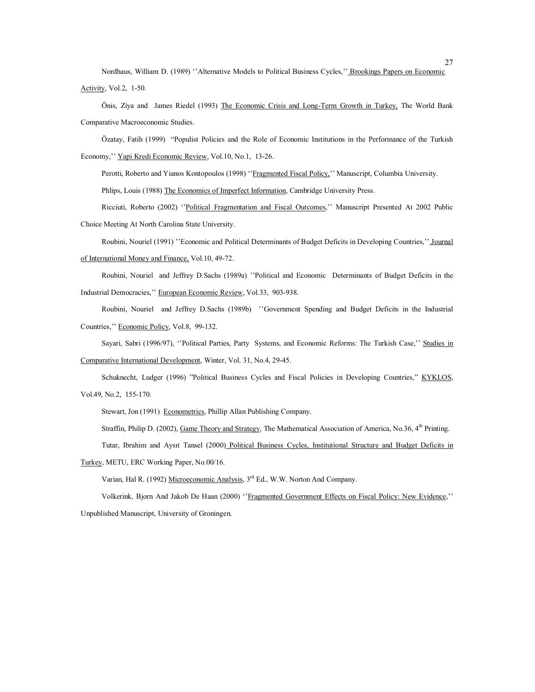Nordhaus, William D. (1989) "Alternative Models to Political Business Cycles," Brookings Papers on Economic Activity, Vol.2, 1-50.

Önis, Ziya and James Riedel (1993) The Economic Crisis and Long-Term Growth in Turkey, The World Bank Comparative Macroeconomic Studies.

Özatay, Fatih (1999) "Populist Policies and the Role of Economic Institutions in the Performance of the Turkish Economy,'' Yapi Kredi Economic Review, Vol.10, No.1, 13-26.

Perotti, Roberto and Yianos Kontopoulos (1998) "Fragmented Fiscal Policy," Manuscript, Columbia University.

Phlips, Louis (1988) The Economics of Imperfect Information, Cambridge University Press.

Ricciuti, Roberto (2002) ''Political Fragmentation and Fiscal Outcomes,'' Manuscript Presented At 2002 Public Choice Meeting At North Carolina State University.

Roubini, Nouriel (1991) ''Economic and Political Determinants of Budget Deficits in Developing Countries,'' Journal of International Money and Finance, Vol.10, 49-72.

Roubini, Nouriel and Jeffrey D.Sachs (1989a) ''Political and Economic Determinants of Budget Deficits in the Industrial Democracies,'' European Economic Review, Vol.33, 903-938.

Roubini, Nouriel and Jeffrey D.Sachs (1989b) ''Government Spending and Budget Deficits in the Industrial Countries,'' Economic Policy, Vol.8, 99-132.

Sayari, Sabri (1996/97), ''Political Parties, Party Systems, and Economic Reforms: The Turkish Case,'' Studies in Comparative International Development, Winter, Vol. 31, No.4, 29-45.

Schuknecht, Ludger (1996) "Political Business Cycles and Fiscal Policies in Developing Countries," KYKLOS, Vol.49, No.2, 155-170.

Stewart, Jon (1991) Econometrics, Phillip Allan Publishing Company.

Straffin, Philip D. (2002), Game Theory and Strategy, The Mathematical Association of America, No.36, 4<sup>th</sup> Printing.

Tutar, Ibrahim and Aysıt Tansel (2000) Political Business Cycles, Institutional Structure and Budget Deficits in

Turkey, METU, ERC Working Paper, No.00/16.

Varian, Hal R. (1992) Microeconomic Analysis, 3<sup>rd</sup> Ed., W.W. Norton And Company.

Volkerink, Bjorn And Jakob De Haan (2000) ''Fragmented Government Effects on Fiscal Policy: New Evidence,'' Unpublished Manuscript, University of Groningen.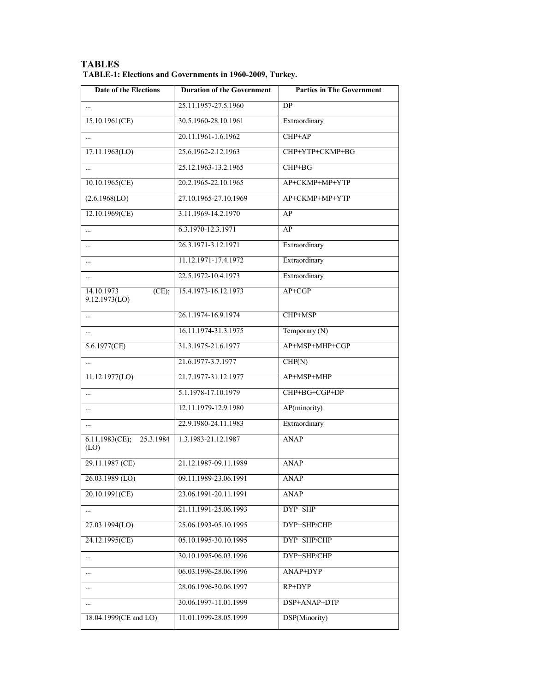| Date of the Elections                   | <b>Duration of the Government</b> | <b>Parties in The Government</b> |
|-----------------------------------------|-----------------------------------|----------------------------------|
|                                         | 25.11.1957-27.5.1960              | <b>DP</b>                        |
| 15.10.1961(CE)                          | 30.5.1960-28.10.1961              | Extraordinary                    |
|                                         | 20.11.1961-1.6.1962               | $CHP+AP$                         |
| 17.11.1963(LO)                          | 25.6.1962-2.12.1963               | CHP+YTP+CKMP+BG                  |
|                                         | 25.12.1963-13.2.1965              | CHP+BG                           |
| 10.10.1965(CE)                          | 20.2.1965-22.10.1965              | AP+CKMP+MP+YTP                   |
| (2.6.1968(LO))                          | 27.10.1965-27.10.1969             | AP+CKMP+MP+YTP                   |
| 12.10.1969(CE)                          | 3.11.1969-14.2.1970               | AP                               |
| $\cdots$                                | 6.3.1970-12.3.1971                | AP                               |
| $\cdots$                                | 26.3.1971-3.12.1971               | Extraordinary                    |
| $\cdots$                                | 11.12.1971-17.4.1972              | Extraordinary                    |
| $\cdots$                                | 22.5.1972-10.4.1973               | Extraordinary                    |
| 14.10.1973<br>$(CE)$ ;<br>9.12.1973(LO) | 15.4.1973-16.12.1973              | AP+CGP                           |
| $\cdots$                                | 26.1.1974-16.9.1974               | CHP+MSP                          |
| $\cdots$                                | 16.11.1974-31.3.1975              | Temporary (N)                    |
| 5.6.1977(CE)                            | 31.3.1975-21.6.1977               | AP+MSP+MHP+CGP                   |
|                                         | 21.6.1977-3.7.1977                | CHP(N)                           |
| 11.12.1977(LO)                          | 21.7.1977-31.12.1977              | AP+MSP+MHP                       |
|                                         | 5.1.1978-17.10.1979               | CHP+BG+CGP+DP                    |
|                                         | 12.11.1979-12.9.1980              | AP(minority)                     |
|                                         | 22.9.1980-24.11.1983              | Extraordinary                    |
| $6.11.1983$ (CE);<br>25.3.1984<br>(LO)  | 1.3.1983-21.12.1987               | <b>ANAP</b>                      |
| 29.11.1987 (CE)                         | 21.12.1987-09.11.1989             | <b>ANAP</b>                      |
| 26.03.1989 (LO)                         | 09.11.1989-23.06.1991             | ANAP                             |
| 20.10.1991(CE)                          | 23.06.1991-20.11.1991             | <b>ANAP</b>                      |
| $\cdots$                                | 21.11.1991-25.06.1993             | DYP+SHP                          |
| $27.03.\overline{1994(LO)}$             | 25.06.1993-05.10.1995             | DYP+SHP/CHP                      |
| 24.12.1995(CE)                          | 05.10.1995-30.10.1995             | DYP+SHP/CHP                      |
| $\cdots$                                | 30.10.1995-06.03.1996             | DYP+SHP/CHP                      |
| $\cdots$                                | 06.03.1996-28.06.1996             | ANAP+DYP                         |
|                                         | 28.06.1996-30.06.1997             | $RP+DYP$                         |
|                                         | 30.06.1997-11.01.1999             | DSP+ANAP+DTP                     |
| 18.04.1999(CE and LO)                   | 11.01.1999-28.05.1999             | DSP(Minority)                    |

| <b>TABLES</b>                                            |  |
|----------------------------------------------------------|--|
| TABLE-1: Elections and Governments in 1960-2009, Turkey. |  |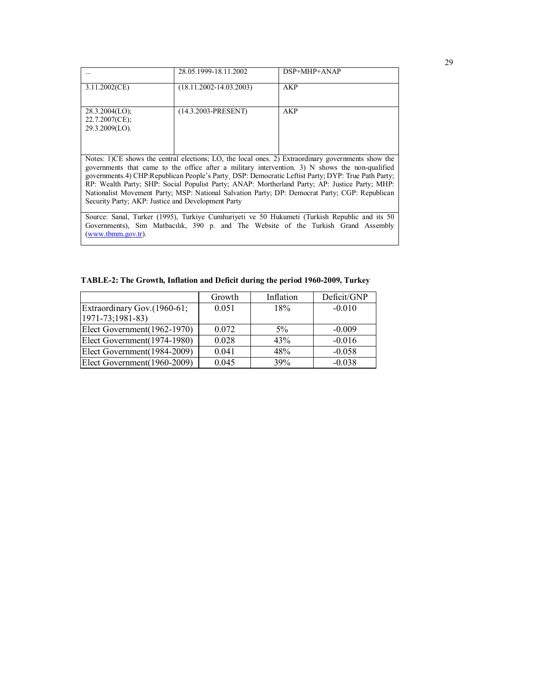|                                                          | 28.05.1999-18.11.2002       | $DSP+MHP+ANAP$                                                                                                                                                                                                                                                                                                                                                                                            |  |
|----------------------------------------------------------|-----------------------------|-----------------------------------------------------------------------------------------------------------------------------------------------------------------------------------------------------------------------------------------------------------------------------------------------------------------------------------------------------------------------------------------------------------|--|
| 3.11.2002(CE)                                            | $(18.11.2002 - 14.03.2003)$ | AKP                                                                                                                                                                                                                                                                                                                                                                                                       |  |
| 28.3.2004(LO);<br>$22.7.2007$ (CE);<br>$29.3.2009(LO)$ . | $(14.3.2003-PRESENT)$       | <b>AKP</b>                                                                                                                                                                                                                                                                                                                                                                                                |  |
|                                                          |                             | Notes: 1)CE shows the central elections; LO, the local ones. 2) Extraordinary governments show the                                                                                                                                                                                                                                                                                                        |  |
| Security Party; AKP: Justice and Development Party       |                             | governments that came to the office after a military intervention. 3) N shows the non-qualified<br>governments.4) CHP:Republican People's Party, DSP: Democratic Leftist Party; DYP: True Path Party;<br>RP: Wealth Party; SHP: Social Populist Party; ANAP: Mortherland Party; AP: Justice Party; MHP:<br>Nationalist Movement Party; MSP: National Salvation Party; DP: Democrat Party; CGP: Republican |  |
| $(www.tbmm.gov.tr)$ .                                    |                             | Source: Sanal, Turker (1995), Turkiye Cumhuriyeti ve 50 Hukumeti (Turkish Republic and its 50<br>Governments), Sim Matbacılık, 390 p. and The Website of the Turkish Grand Assembly                                                                                                                                                                                                                       |  |

|  |  |  | TABLE-2: The Growth, Inflation and Deficit during the period 1960-2009, Turkey |
|--|--|--|--------------------------------------------------------------------------------|
|  |  |  |                                                                                |

|                                                  | Growth | Inflation | Deficit/GNP |
|--------------------------------------------------|--------|-----------|-------------|
| Extraordinary Gov. (1960-61;<br>1971-73;1981-83) | 0.051  | 18%       | $-0.010$    |
| Elect Government(1962-1970)                      | 0.072  | $5\%$     | $-0.009$    |
| Elect Government(1974-1980)                      | 0.028  | 43%       | $-0.016$    |
| Elect Government(1984-2009)                      | 0.041  | 48%       | $-0.058$    |
| Elect Government(1960-2009)                      | 0.045  | 39%       | $-0.038$    |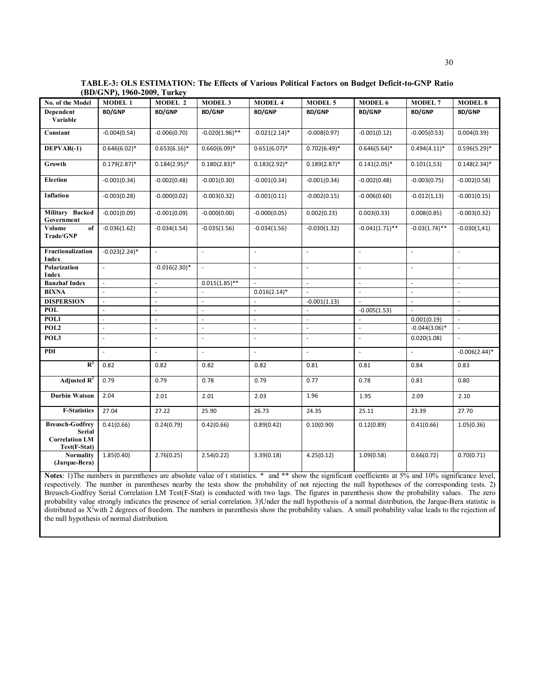| No. of the Model                                                          | <b>MODEL 1</b>           | <b>MODEL 2</b>           | <b>MODEL 3</b>           | <b>MODEL 4</b>           | <b>MODEL 5</b>           | <b>MODEL 6</b>           | <b>MODEL 7</b>           | <b>MODEL 8</b>           |
|---------------------------------------------------------------------------|--------------------------|--------------------------|--------------------------|--------------------------|--------------------------|--------------------------|--------------------------|--------------------------|
| Dependent                                                                 | <b>BD/GNP</b>            | <b>BD/GNP</b>            | <b>BD/GNP</b>            | <b>BD/GNP</b>            | <b>BD/GNP</b>            | <b>BD/GNP</b>            | <b>BD/GNP</b>            | <b>BD/GNP</b>            |
| Variable                                                                  |                          |                          |                          |                          |                          |                          |                          |                          |
| Constant                                                                  | $-0.004(0.54)$           | $-0.006(0.70)$           | $-0.020(1.96)$ **        | $-0.021(2.14)$ *         | $-0.008(0.97)$           | $-0.001(0.12)$           | $-0.005(0.53)$           | 0.004(0.39)              |
| DEPVAR(-1)                                                                | $0.646(6.02)*$           | $0.653(6.16)*$           | $0.660(6.09)*$           | $0.651(6.07)^*$          | $0.702(6.49)*$           | $0.646(5.64)^*$          | $0.494(4.11)*$           | $0.596(5.29)$ *          |
| Growth                                                                    | $0.179(2.87)^*$          | $0.184(2.95)^*$          | $0.180(2.83)*$           | $0.183(2.92)^*$          | $0.189(2.87)^*$          | $0.141(2.05)^*$          | 0.101(1,53)              | $0.148(2.34)^*$          |
| <b>Election</b>                                                           | $-0.001(0.34)$           | $-0.002(0.48)$           | $-0.001(0.30)$           | $-0.001(0.34)$           | $-0.001(0.34)$           | $-0.002(0.48)$           | $-0.003(0.75)$           | $-0.002(0.58)$           |
| Inflation                                                                 | $-0.003(0.28)$           | $-0.000(0.02)$           | $-0.003(0.32)$           | $-0.001(0.11)$           | $-0.002(0.15)$           | $-0.006(0.60)$           | $-0.012(1,13)$           | $-0.001(0.15)$           |
| Military Backed<br>Government                                             | $-0.001(0.09)$           | $-0.001(0.09)$           | $-0.000(0.00)$           | $-0.000(0.05)$           | 0.002(0.23)              | 0.003(0.33)              | 0.008(0.85)              | $-0.003(0.32)$           |
| Volume<br>of<br>Trade/GNP                                                 | $-0.036(1.62)$           | $-0.034(1.54)$           | $-0.035(1.56)$           | $-0.034(1.56)$           | $-0.030(1.32)$           | $-0.041(1.71)$ **        | $-0.03(1.74)$ **         | $-0.030(1,41)$           |
| Fractionalization<br><b>Index</b>                                         | $-0.023(2.24)$ *         | ä,                       | ä,                       | $\overline{\phantom{a}}$ | ÷.                       | $\overline{\phantom{a}}$ | ÷,                       | $\sim$                   |
| Polarization<br>Index                                                     | $\sim$                   | $-0.016(2.30)^*$         | $\overline{\phantom{a}}$ | ÷,                       | ×.                       | $\sim$                   | ä,                       | $\overline{\phantom{a}}$ |
| <b>Banzhaf Index</b>                                                      | $\overline{\phantom{a}}$ | ä,                       | $0.015(1.85)$ **         |                          | $\overline{\phantom{a}}$ | $\overline{\phantom{a}}$ | $\overline{\phantom{a}}$ | $\sim$                   |
| <b>BIXNA</b>                                                              |                          | ÷,                       |                          | $0.016(2.14)^*$          | ÷,                       | ÷,                       | L.                       | ÷,                       |
| <b>DISPERSION</b>                                                         | $\sim$                   | ä,                       | ä,                       | ÷.                       | $-0.001(1.13)$           | $\overline{\phantom{a}}$ | $\mathcal{L}$            | $\overline{\phantom{a}}$ |
| <b>POL</b>                                                                | ÷.                       | ä,                       | ×.                       | ×.                       |                          | $-0.005(1.53)$           | ÷.                       | $\sim$                   |
| POL1                                                                      | ÷.                       | ÷.                       | ÷.                       | ÷.                       | ×.                       |                          | 0.001(0.19)              | ÷.                       |
| POL <sub>2</sub>                                                          | ä,                       | $\bar{\phantom{a}}$      | L.                       | ÷,                       | ÷,                       | ÷,                       | $-0.044(3.06)$ *         | $\Box$                   |
| POL3                                                                      | ÷,                       | ÷,                       | ÷,                       | ÷,                       | ÷,                       | ÷,                       | 0.020(1.08)              | ä,                       |
| PDI                                                                       |                          | $\overline{\phantom{a}}$ | $\overline{\phantom{a}}$ | $\sim$                   | $\sim$                   | $\overline{\phantom{a}}$ |                          | $-0.006(2.44)$ *         |
| $R^2$                                                                     | 0.82                     | 0.82                     | 0.82                     | 0.82                     | 0.81                     | 0.81                     | 0.84                     | 0.83                     |
| Adjusted $R^2$                                                            | 0.79                     | 0.79                     | 0.78                     | 0.79                     | 0.77                     | 0.78                     | 0.81                     | 0.80                     |
| <b>Durbin Watson</b>                                                      | 2.04                     | 2.01                     | 2.01                     | 2.03                     | 1.96                     | 1.95                     | 2.09                     | 2.10                     |
| <b>F-Statistics</b>                                                       | 27.04                    | 27.22                    | 25.90                    | 26.73                    | 24.35                    | 25.11                    | 23.39                    | 27.70                    |
| <b>Breusch-Godfrey</b><br>Serial<br><b>Correlation LM</b><br>Test(F-Stat) | 0.41(0.66)               | 0.24(0.79)               | 0.42(0.66)               | 0.89(0.42)               | 0.10(0.90)               | 0.12(0.89)               | 0.41(0.66)               | 1.05(0.36)               |
| <b>Normality</b><br>(Jarque-Bera)                                         | 1.85(0.40)               | 2.76(0.25)               | 2.54(0.22)               | 3.39(0.18)               | 4.25(0.12)               | 1.09(0.58)               | 0.66(0.72)               | 0.70(0.71)               |

**TABLE-3: OLS ESTIMATION: The Effects of Various Political Factors on Budget Deficit-to-GNP Ratio (BD/GNP), 1960-2009, Turkey** 

Notes: 1)The numbers in parentheses are absolute value of t statistics. \* and \*\* show the significant coefficients at 5% and 10% significance level, respectively. The number in parentheses nearby the tests show the probability of not rejecting the null hypotheses of the corresponding tests. 2) Breusch-Godfrey Serial Correlation LM Test(F-Stat) is conducted with two lags. The figures in parenthesis show the probability values. The zero probability value strongly indicates the presence of serial correlation. 3)Under the null hypothesis of a normal distribution, the Jarque-Bera statistic is distributed as  $X^2$ with 2 degrees of freedom. The numbers in parenthesis show the probability values. A small probability value leads to the rejection of the null hypothesis of normal distribution.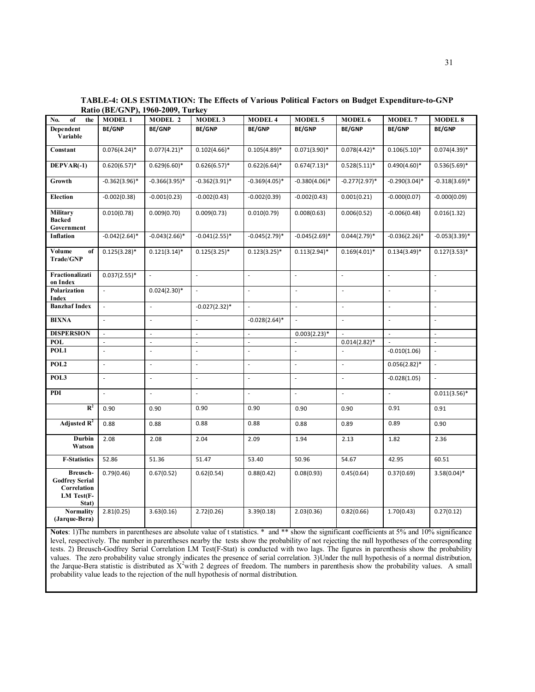| No.<br>of<br>the                                                        | <b>MODEL 1</b>           | MODEL 2                  | <b>MODEL 3</b>           | <b>MODEL 4</b>           | <b>MODEL 5</b>   | MODEL 6          | <b>MODEL 7</b>           | <b>MODEL 8</b>           |
|-------------------------------------------------------------------------|--------------------------|--------------------------|--------------------------|--------------------------|------------------|------------------|--------------------------|--------------------------|
| Dependent<br>Variable                                                   | <b>BE/GNP</b>            | <b>BE/GNP</b>            | <b>BE/GNP</b>            | <b>BE/GNP</b>            | <b>BE/GNP</b>    | <b>BE/GNP</b>    | <b>BE/GNP</b>            | <b>BE/GNP</b>            |
| Constant                                                                | $0.076(4.24)$ *          | $0.077(4.21)^*$          | $0.102(4.66)*$           | $0.105(4.89)*$           | $0.071(3.90)*$   | $0.078(4.42)^*$  | $0.106(5.10)*$           | $0.074(4.39)*$           |
| DEPVAR(-1)                                                              | $0.620(6.57)*$           | $0.629(6.60)$ *          | $0.626(6.57)^*$          | $0.622(6.64)$ *          | $0.674(7.13)*$   | $0.528(5.11)^*$  | $0.490(4.60)*$           | $0.536(5.69)$ *          |
| Growth                                                                  | $-0.362(3.96)$ *         | $-0.366(3.95)$ *         | $-0.362(3.91)^*$         | $-0.369(4.05)$ *         | $-0.380(4.06)$ * | $-0.277(2.97)$ * | $-0.290(3.04)$ *         | $-0.318(3.69)$ *         |
| <b>Election</b>                                                         | $-0.002(0.38)$           | $-0.001(0.23)$           | $-0.002(0.43)$           | $-0.002(0.39)$           | $-0.002(0.43)$   | 0.001(0.21)      | $-0.000(0.07)$           | $-0.000(0.09)$           |
| Military<br><b>Backed</b><br>Government                                 | 0.010(0.78)              | 0.009(0.70)              | 0.009(0.73)              | 0.010(0.79)              | 0.008(0.63)      | 0.006(0.52)      | $-0.006(0.48)$           | 0.016(1.32)              |
| <b>Inflation</b>                                                        | $-0.042(2.64)$ *         | $-0.043(2.66)$ *         | $-0.041(2.55)*$          | $-0.045(2.79)$ *         | $-0.045(2.69)$ * | $0.044(2.79)*$   | $-0.036(2.26)$ *         | $-0.053(3.39)$ *         |
| Volume<br>of<br>Trade/GNP                                               | $0.125(3.28)*$           | $0.121(3.14)^*$          | $0.125(3.25)^*$          | $0.123(3.25)$ *          | $0.113(2.94)$ *  | $0.169(4.01)^*$  | $0.134(3.49)*$           | $0.127(3.53)*$           |
| Fractionalizati<br>on Index                                             | $0.037(2.55)*$           | $\overline{\phantom{a}}$ | $\overline{\phantom{a}}$ | $\overline{\phantom{a}}$ | $\sim$           | L.               | $\overline{\phantom{a}}$ | $\bar{z}$                |
| Polarization<br><b>Index</b>                                            | ä,                       | $0.024(2.30)*$           | ä,                       | $\overline{\phantom{a}}$ | J.               | ÷,               | ÷,                       | $\overline{\phantom{a}}$ |
| <b>Banzhaf Index</b>                                                    | ä,                       | ÷,                       | $-0.027(2.32)*$          | $\overline{\phantom{a}}$ | ÷.               | ÷,               | ÷,                       | $\blacksquare$           |
| <b>BIXNA</b>                                                            | L.                       | ÷,                       | ÷,                       | $-0.028(2.64)$ *         |                  | $\bar{a}$        | $\bar{a}$                | ÷,                       |
| <b>DISPERSION</b>                                                       | ä,                       | ÷,                       | ÷,                       | ä,                       | $0.003(2.23)*$   |                  | L.                       | $\overline{\phantom{a}}$ |
| <b>POL</b>                                                              | $\overline{\phantom{a}}$ | $\bar{\phantom{a}}$      | ÷,                       | ÷,                       |                  | $0.014(2.82)*$   |                          | $\overline{\phantom{a}}$ |
| POL1                                                                    | ä,                       | $\overline{\phantom{a}}$ | $\overline{\phantom{a}}$ | ÷,                       | J.               | ä,               | $-0.010(1.06)$           | $\overline{\phantom{a}}$ |
| POL <sub>2</sub>                                                        | ä,                       | $\mathbf{r}$             | ÷.                       | L.                       | L,               | ÷,               | $0.056(2.82)*$           | ä,                       |
| POL3                                                                    | L.                       | $\overline{\phantom{a}}$ | L,                       | L,                       | L,               | L,               | $-0.028(1.05)$           | $\overline{\phantom{a}}$ |
| PDI                                                                     | ä,                       | $\sim$                   | ÷.                       | ä,                       | ÷,               | ÷,               | ÷,                       | $0.011(3.56)$ *          |
| $R^2$                                                                   | 0.90                     | 0.90                     | 0.90                     | 0.90                     | 0.90             | 0.90             | 0.91                     | 0.91                     |
| Adjusted $R^2$                                                          | 0.88                     | 0.88                     | 0.88                     | 0.88                     | 0.88             | 0.89             | 0.89                     | 0.90                     |
| Durbin<br>Watson                                                        | 2.08                     | 2.08                     | 2.04                     | 2.09                     | 1.94             | 2.13             | 1.82                     | 2.36                     |
| <b>F-Statistics</b>                                                     | 52.86                    | 51.36                    | 51.47                    | 53.40                    | 50.96            | 54.67            | 42.95                    | 60.51                    |
| Breusch-<br><b>Godfrey Serial</b><br>Correlation<br>LM Test(F-<br>Stat) | 0.79(0.46)               | 0.67(0.52)               | 0.62(0.54)               | 0.88(0.42)               | 0.08(0.93)       | 0.45(0.64)       | 0.37(0.69)               | $3.58(0.04)$ *           |
| <b>Normality</b><br>(Jarque-Bera)                                       | 2.81(0.25)               | 3.63(0.16)               | 2.72(0.26)               | 3.39(0.18)               | 2.03(0.36)       | 0.82(0.66)       | 1.70(0.43)               | 0.27(0.12)               |

**TABLE-4: OLS ESTIMATION: The Effects of Various Political Factors on Budget Expenditure-to-GNP Ratio (BE/GNP), 1960-2009, Turkey** 

Notes: 1)The numbers in parentheses are absolute value of t statistics. \* and \*\* show the significant coefficients at 5% and 10% significance level, respectively. The number in parentheses nearby the tests show the probability of not rejecting the null hypotheses of the corresponding tests. 2) Breusch-Godfrey Serial Correlation LM Test(F-Stat) is conducted with two lags. The figures in parenthesis show the probability values. The zero probability value strongly indicates the presence of serial correlation. 3)Under the null hypothesis of a normal distribution, the Jarque-Bera statistic is distributed as  $X^2$  with 2 degrees of freedom. The numbers in parenthesis show the probability values. A small probability value leads to the rejection of the null hypothesis of normal distribution.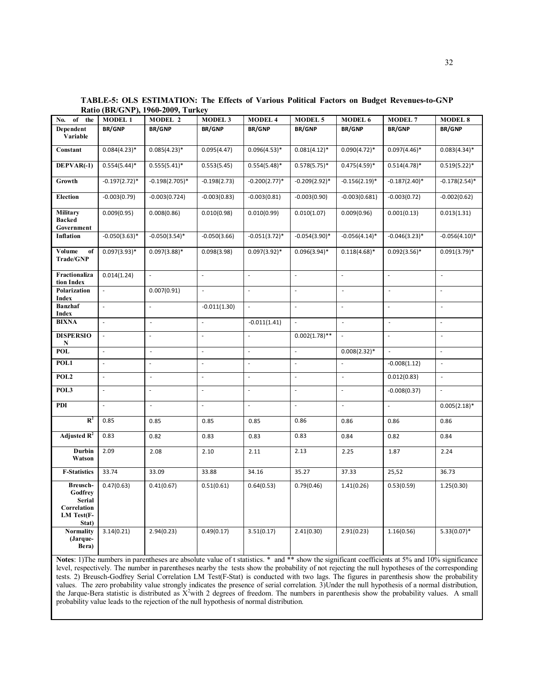| No.<br>of the                                                       | <b>MODEL 1</b>           | MODEL 2                  | <b>MODEL 3</b>           | <b>MODEL 4</b>           | <b>MODEL 5</b>              | MODEL 6                  | <b>MODEL 7</b>                                                                                                                                 | <b>MODEL 8</b>           |
|---------------------------------------------------------------------|--------------------------|--------------------------|--------------------------|--------------------------|-----------------------------|--------------------------|------------------------------------------------------------------------------------------------------------------------------------------------|--------------------------|
| Dependent<br>Variable                                               | <b>BR/GNP</b>            | <b>BR/GNP</b>            | <b>BR/GNP</b>            | <b>BR/GNP</b>            | <b>BR/GNP</b>               | <b>BR/GNP</b>            | <b>BR/GNP</b>                                                                                                                                  | <b>BR/GNP</b>            |
| Constant                                                            | $0.084(4.23)*$           | $0.085(4.23)*$           | 0.095(4.47)              | $0.096(4.53)*$           | $0.081(4.12)^*$             | $0.090(4.72)*$           | $0.097(4.46)^*$                                                                                                                                | $0.083(4.34)^*$          |
| $DEPVAR(-1)$                                                        | $0.554(5.44)$ *          | $0.555(5.41)^*$          | 0.553(5.45)              | $0.554(5.48)$ *          | $0.578(5.75)*$              | $0.475(4.59)$ *          | $0.514(4.78)$ *                                                                                                                                | $0.519(5.22)^*$          |
| Growth                                                              | $-0.197(2.72)$ *         | $-0.198(2.705)$ *        | $-0.198(2.73)$           | $-0.200(2.77)*$          | $-0.209(2.92)*$             | $-0.156(2.19)$ *         | $-0.187(2.40)$ *                                                                                                                               | $-0.178(2.54)$ *         |
| <b>Election</b>                                                     | $-0.003(0.79)$           | $-0.003(0.724)$          | $-0.003(0.83)$           | $-0.003(0.81)$           | $-0.003(0.90)$              | $-0.003(0.681)$          | $-0.003(0.72)$                                                                                                                                 | $-0.002(0.62)$           |
| Military<br><b>Backed</b><br>Government                             | 0.009(0.95)              | 0.008(0.86)              | 0.010(0.98)              | 0.010(0.99)              | 0.010(1.07)                 | 0.009(0.96)              | 0.001(0.13)                                                                                                                                    | 0.013(1.31)              |
| <b>Inflation</b>                                                    | $-0.050(3.63)*$          | $-0.050(3.54)$ *         | $-0.050(3.66)$           | $-0.051(3.72)$ *         | $-0.054(3.90)$ *            | $-0.056(4.14)$ *         | $-0.046(3.23)*$                                                                                                                                | $-0.056(4.10)$ *         |
| Volume<br>of<br>Trade/GNP                                           | $0.097(3.93)*$           | $0.097(3.88)$ *          | 0.098(3.98)              | $0.097(3.92)*$           | $0.096(3.94)$ *             | $0.118(4.68)$ *          | $0.092(3.56)*$                                                                                                                                 | $0.091(3.79)^*$          |
| Fractionaliza<br>tion Index                                         | 0.014(1.24)              | ÷,                       | ä,                       | $\overline{\phantom{a}}$ | ä,                          | L.                       |                                                                                                                                                |                          |
| Polarization<br><b>Index</b>                                        | ä,                       | 0.007(0.91)              | ÷,                       | $\overline{\phantom{a}}$ | $\overline{\phantom{a}}$    | l,                       | ÷,                                                                                                                                             | $\overline{\phantom{a}}$ |
| <b>Banzhaf</b><br><b>Index</b>                                      | $\frac{1}{2}$            | $\overline{\phantom{a}}$ | $-0.011(1.30)$           | $\overline{\phantom{a}}$ | ÷,                          | ÷,                       | ÷,                                                                                                                                             | ÷,                       |
| <b>BIXNA</b>                                                        | ÷,                       | $\overline{\phantom{a}}$ | $\overline{\phantom{a}}$ | $-0.011(1.41)$           | $\overline{\phantom{a}}$    | $\sim$                   | $\overline{\phantom{a}}$                                                                                                                       | $\overline{\phantom{a}}$ |
| <b>DISPERSIO</b><br>N                                               |                          | ÷,                       | ä,                       | $\blacksquare$           | $0.002(1.78)$ **            |                          |                                                                                                                                                | ÷,                       |
| <b>POL</b>                                                          | $\overline{\phantom{a}}$ | $\overline{\phantom{a}}$ | $\blacksquare$           | $\overline{\phantom{a}}$ | $\overline{\phantom{a}}$    | $0.008(2.32)*$           | $\sim$                                                                                                                                         | $\overline{\phantom{a}}$ |
| POL1                                                                | ÷,                       | ä,                       | $\overline{\phantom{a}}$ | $\overline{\phantom{a}}$ | ä,                          | ÷,                       | $-0.008(1.12)$                                                                                                                                 | ä,                       |
| POL2                                                                | ÷,                       | $\mathbb{Z}$             | $\overline{\phantom{a}}$ | $\bar{z}$                | $\overline{\phantom{a}}$    | $\overline{\phantom{a}}$ | 0.012(0.83)                                                                                                                                    | $\mathbb{Z}$             |
| POL3                                                                | ÷,                       | ÷,                       | ÷,                       | $\overline{\phantom{a}}$ | ÷,                          | $\overline{a}$           | $-0.008(0.37)$                                                                                                                                 | ä,                       |
| PDI                                                                 | ÷,                       | $\overline{\phantom{a}}$ | $\blacksquare$           | $\overline{\phantom{a}}$ | $\mathcal{L}_{\mathcal{A}}$ | ÷,                       | ä,                                                                                                                                             | $0.005(2.18)*$           |
| $R^2$                                                               | 0.85                     | 0.85                     | 0.85                     | 0.85                     | 0.86                        | 0.86                     | 0.86                                                                                                                                           | 0.86                     |
| Adjusted $\mathbf{R}^2$                                             | 0.83                     | 0.82                     | 0.83                     | 0.83                     | 0.83                        | 0.84                     | 0.82                                                                                                                                           | 0.84                     |
| Durbin<br>Watson                                                    | 2.09                     | 2.08                     | 2.10                     | 2.11                     | 2.13                        | 2.25                     | 1.87                                                                                                                                           | 2.24                     |
| <b>F-Statistics</b>                                                 | 33.74                    | 33.09                    | 33.88                    | 34.16                    | 35.27                       | 37.33                    | 25,52                                                                                                                                          | 36.73                    |
| Breusch-<br>Godfrey<br>Serial<br>Correlation<br>LM Test(F-<br>Stat) | 0.47(0.63)               | 0.41(0.67)               | 0.51(0.61)               | 0.64(0.53)               | 0.79(0.46)                  | 1.41(0.26)               | 0.53(0.59)                                                                                                                                     | 1.25(0.30)               |
| <b>Normality</b><br>(Jarque-<br>Bera)                               | 3.14(0.21)               | 2.94(0.23)               | 0.49(0.17)               | 3.51(0.17)               | 2.41(0.30)                  | 2.91(0.23)               | 1.16(0.56)                                                                                                                                     | $5.33(0.07)*$            |
|                                                                     |                          |                          |                          |                          |                             |                          | Notes: 1) The numbers in parentheses are absolute value of t statistics. * and ** show the significant coefficients at 5% and 10% significance |                          |

**TABLE-5: OLS ESTIMATION: The Effects of Various Political Factors on Budget Revenues-to-GNP Ratio (BR/GNP), 1960-2009, Turkey** 

level, respectively. The number in parentheses nearby the tests show the probability of not rejecting the null hypotheses of the corresponding tests. 2) Breusch-Godfrey Serial Correlation LM Test(F-Stat) is conducted with two lags. The figures in parenthesis show the probability values. The zero probability value strongly indicates the presence of serial correlation. 3)Under the null hypothesis of a normal distribution, the Jarque-Bera statistic is distributed as  $X^2$  with 2 degrees of freedom. The numbers in parenthesis show the probability values. A small probability value leads to the rejection of the null hypothesis of normal distribution.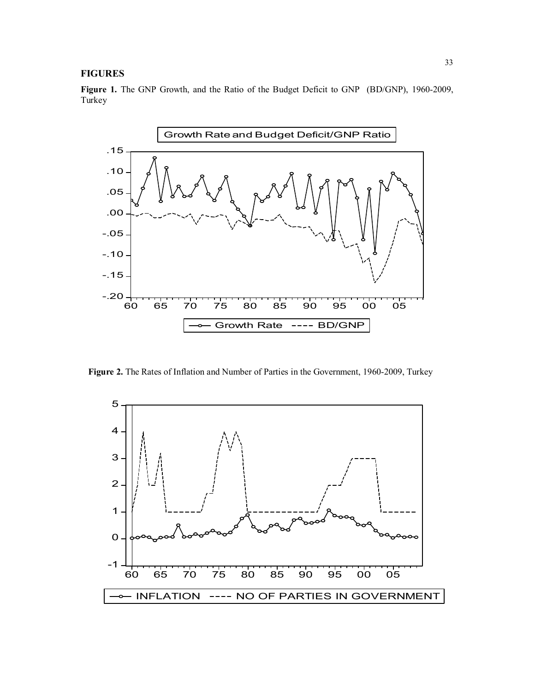# **FIGURES**

**Figure 1.** The GNP Growth, and the Ratio of the Budget Deficit to GNP (BD/GNP), 1960-2009, Turkey



**Figure 2.** The Rates of Inflation and Number of Parties in the Government, 1960-2009, Turkey